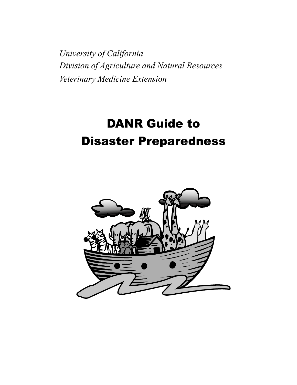*Division of Agriculture and Natural Resources Veterinary Medicine Extension University of California*

# DANR Guide to Disaster Preparedness

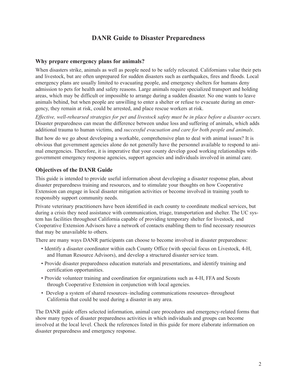## **DANR Guide to Disaster Preparedness**

#### **Why prepare emergency plans for animals?**

When disasters strike, animals as well as people need to be safely relocated. Californians value their pets and livestock, but are often unprepared for sudden disasters such as earthquakes, fires and floods. Local emergency plans are usually limited to evacuating people, and emergency shelters for humans deny admission to pets for health and safety reasons. Large animals require specialized transport and holding areas, which may be difficult or impossible to arrange during a sudden disaster. No one wants to leave animals behind, but when people are unwilling to enter a shelter or refuse to evacuate during an emergency, they remain at risk, could be arrested, and place rescue workers at risk.

*Effective, well-rehearsed strategies for pet and livestock safety must be in place before a disaster occurs.* Disaster preparedness can mean the difference between undue loss and suffering of animals, which adds additional trauma to human victims, and *successful evacuation and care for both people and animals*.

But how do we go about developing a workable, comprehensive plan to deal with animal issues? It is obvious that government agencies alone do not generally have the personnel available to respond to animal emergencies. Therefore, it is imperative that your county develop good working relationships withgovernment emergency response agencies, support agencies and individuals involved in animal care.

#### **Objectives of the DANR Guide**

This guide is intended to provide useful information about developing a disaster response plan, about disaster preparedness training and resources, and to stimulate your thoughts on how Cooperative Extension can engage in local disaster mitigation activities or become involved in training youth to responsibly support community needs.

Private veterinary practitioners have been identified in each county to coordinate medical services, but during a crisis they need assistance with communication, triage, transportation and shelter. The UC system has facilities throughout California capable of providing temporary shelter for livestock, and Cooperative Extension Advisors have a network of contacts enabling them to find necessary resources that may be unavailable to others.

There are many ways DANR participants can choose to become involved in disaster preparedness:

- Identify a disaster coordinator within each County Office (with special focus on Livestock, 4-H, and Human Resource Advisors), and develop a structured disaster service team.
- Provide disaster preparedness education materials and presentations, and identify training and certification opportunities.
- Provide volunteer training and coordination for organizations such as 4-H, FFA and Scouts through Cooperative Extension in conjunction with local agencies.
- Develop a system of shared resources–including communications resources–throughout California that could be used during a disaster in any area.

The DANR guide offers selected information, animal care procedures and emergency-related forms that show many types of disaster preparedness activities in which individuals and groups can become involved at the local level. Check the references listed in this guide for more elaborate information on disaster preparedness and emergency response.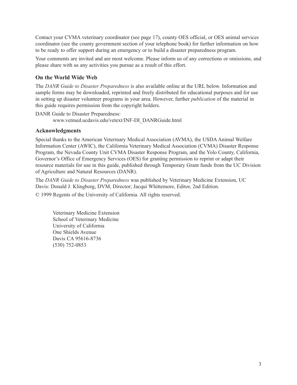Contact your CVMA veterinary coordinator (see page 17), county OES official, or OES animal services coordinator (see the county government section of your telephone book) for further information on how to be ready to offer support during an emergency or to build a disaster preparedness program.

Your comments are invited and are most welcome. Please inform us of any corrections or omissions, and please share with us any activities you pursue as a result of this effort.

#### **On the World Wide Web**

The *DANR Guide to Disaster Preparedness* is also available online at the URL below. Information and sample forms may be downloaded, reprinted and freely distributed for educational purposes and for use in setting up disaster volunteer programs in your area. However, further *publication* of the material in this guide requires permission from the copyright holders.

DANR Guide to Disaster Preparedness: www.vetmed.ucdavis.edu/vetext/INF-DI\_DANRGuide.html

#### **Acknowledgments**

Special thanks to the American Veterinary Medical Association (AVMA), the USDA Animal Welfare Information Center (AWIC), the California Veterinary Medical Association (CVMA) Disaster Response Program, the Nevada County Unit CVMA Disaster Response Program, and the Yolo County, California, Governor's Office of Emergency Services (OES) for granting permission to reprint or adapt their resource materials for use in this guide, published through Temporary Grant funds from the UC Division of Agriculture and Natural Resources (DANR).

The *DANR Guide to Disaster Preparedness* was published by Veterinary Medicine Extension, UC Davis: Donald J. Klingborg, DVM, Director; Jacqui Whittemore, Editor, 2nd Edition.

© 1999 Regents of the University of California. All rights reserved.

Veterinary Medicine Extension School of Veterinary Medicine University of California One Shields Avenue Davis CA 95616-8736 (530) 752-0853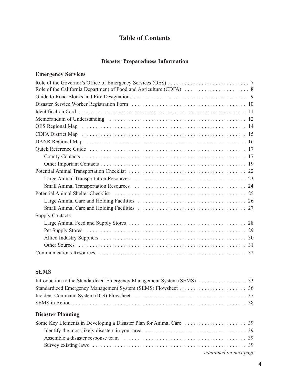## **Table of Contents**

#### **Disaster Preparedness Information**

#### **Emergency Services**

| Potential Animal Shelter Checklist (and the context of the context of the context of the context of the context of the context of the context of the context of the context of the context of the context of the context of th |
|--------------------------------------------------------------------------------------------------------------------------------------------------------------------------------------------------------------------------------|
|                                                                                                                                                                                                                                |
|                                                                                                                                                                                                                                |
| <b>Supply Contacts</b>                                                                                                                                                                                                         |
|                                                                                                                                                                                                                                |
|                                                                                                                                                                                                                                |
|                                                                                                                                                                                                                                |
|                                                                                                                                                                                                                                |
|                                                                                                                                                                                                                                |

## **SEMS**

## **Disaster Planning**

| continued on next page |  |
|------------------------|--|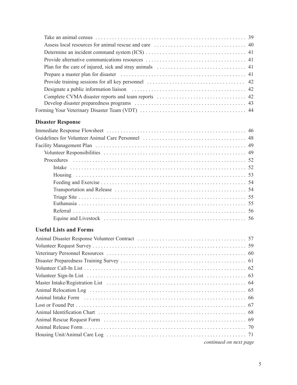## **Disaster Response**

## **Useful Lists and Forms**

| continued on next page |  |
|------------------------|--|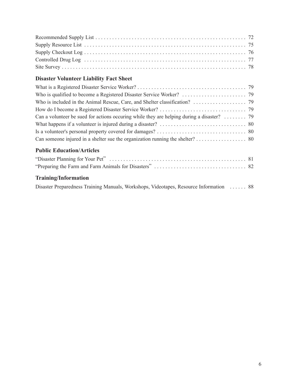## **Disaster Volunteer Liability Fact Sheet**

| Can someone injured in a shelter sue the organization running the shelter? 80 |  |
|-------------------------------------------------------------------------------|--|
|                                                                               |  |

## **Public Education/Articles**

## **Training/Information**

|  |  |  |  | Disaster Preparedness Training Manuals, Workshops, Videotapes, Resource Information  88 |  |
|--|--|--|--|-----------------------------------------------------------------------------------------|--|
|--|--|--|--|-----------------------------------------------------------------------------------------|--|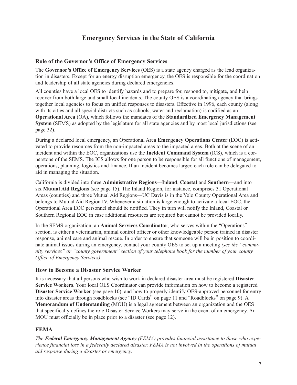## **Emergency Services in the State of California**

#### **Role of the Governor's Office of Emergency Services**

The **Governor's Office of Emergency Services** (OES) is a state agency charged as the lead organization in disasters. Except for an energy disruption emergency, the OES is responsible for the coordination and leadership of all state agencies during declared emergencies.

All counties have a local OES to identify hazards and to prepare for, respond to, mitigate, and help recover from both large and small local incidents. The county OES is a coordinating agency that brings together local agencies to focus on unified responses to disasters. Effective in 1996, each county (along with its cities and all special districts such as schools, water and reclamation) is codified as an **Operational Area** (OA), which follows the mandates of the **Standardized Emergency Management System** (SEMS) as adopted by the legislature for all state agencies and by most local jurisdictions (see page 32).

During a declared local emergency, an Operational Area **Emergency Operations Center** (EOC) is activated to provide resources from the non-impacted areas to the impacted areas. Both at the scene of an incident and within the EOC, organizations use the **Incident Command System** (ICS), which is a cornerstone of the SEMS. The ICS allows for one person to be responsible for all functions of management, operations, planning, logistics and finance. If an incident becomes larger, each role can be delegated to aid in managing the situation.

California is divided into three **Administrative Regions**—**Inland**, **Coastal** and **Southern**—and into six **Mutual Aid Regions** (see page 15). The Inland Region, for instance, comprises 31 Operational Areas (counties) and three Mutual Aid Regions—UC Davis is in the Yolo County Operational Area and belongs to Mutual Aid Region IV. Whenever a situation is large enough to activate a local EOC, the Operational Area EOC personnel should be notified. They in turn will notify the Inland, Coastal or Southern Regional EOC in case additional resources are required but cannot be provided locally.

In the SEMS organization, an **Animal Services Coordinator**, who serves within the "Operations" section, is either a veterinarian, animal control officer or other knowledgeable person trained in disaster response, animal care and animal rescue. In order to ensure that someone will be in position to coordinate animal issues during an emergency, contact your county OES to set up a meeting *(see the "community services" or "county government" section of your telephone book for the number of your county Office of Emergency Services).*

#### **How to Become a Disaster Service Worker**

It is necessary that all persons who wish to work in declared disaster area must be registered **Disaster Service Workers**. Your local OES Coordinator can provide information on how to become a registered **Disaster Service Worker** (see page 10), and how to properly identify OES-approved personnel for entry into disaster areas through roadblocks (see "ID Cards" on page 11 and "Roadblocks" on page 9). A **Memorandum of Understanding** (MOU) is a legal agreement between an organization and the OES that specifically defines the role Disaster Service Workers may serve in the event of an emergency. An MOU must officially be in place prior to a disaster (see page 12).

#### **FEMA**

*The Federal Emergency Management Agency (FEMA) provides financial assistance to those who experience financial loss in a federally declared disaster. FEMA is not involved in the operations of mutual aid response during a disaster or emergency.*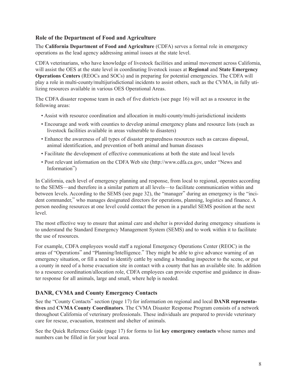#### **Role of the Department of Food and Agriculture**

The **California Department of Food and Agriculture** (CDFA) serves a formal role in emergency operations as the lead agency addressing animal issues at the state level.

CDFA veterinarians, who have knowledge of livestock facilities and animal movement across California, will assist the OES at the state level in coordinating livestock issues at **Regional** and **State Emergency Operations Centers** (REOCs and SOCs) and in preparing for potential emergencies. The CDFA will play a role in multi-county/multijurisdictional incidents to assist others, such as the CVMA, in fully utilizing resources available in various OES Operational Areas.

The CDFA disaster response team in each of five districts (see page 16) will act as a resource in the following areas:

- Assist with resource coordination and allocation in multi-county/multi-jurisdictional incidents
- Encourage and work with counties to develop animal emergency plans and resource lists (such as livestock facilities available in areas vulnerable to disasters)
- Enhance the awareness of all types of disaster preparedness resources such as carcass disposal, animal identification, and prevention of both animal and human diseases
- Facilitate the development of effective communications at both the state and local levels
- Post relevant information on the CDFA Web site (http://www.cdfa.ca.gov, under "News and Information")

In California, each level of emergency planning and response, from local to regional, operates according to the SEMS—and therefore in a similar pattern at all levels—to facilitate communication within and between levels. According to the SEMS (see page 32), the "manager" during an emergency is the "incident commander," who manages designated directors for operations, planning, logistics and finance. A person needing resources at one level could contact the person in a parallel SEMS position at the next level.

The most effective way to ensure that animal care and shelter is provided during emergency situations is to understand the Standard Emergency Management System (SEMS) and to work within it to facilitate the use of resources.

For example, CDFA employees would staff a regional Emergency Operations Center (REOC) in the areas of "Operations" and "Planning/Intelligence." They might be able to give advance warning of an emergency situation, or fill a need to identify cattle by sending a branding inspector to the scene, or put a county in need of a horse evacuation site in contact with a county that has an available site. In addition to a resource coordination/allocation role, CDFA employees can provide expertise and guidance in disaster response for all animals, large and small, where help is needed.

#### **DANR, CVMA and County Emergency Contacts**

See the "County Contacts" section (page 17) for information on regional and local **DANR representatives** and **CVMA County Coordinators**. The CVMA Disaster Response Program consists of a network throughout California of veterinary professionals. These individuals are prepared to provide veterinary care for rescue, evacuation, treatment and shelter of animals.

See the Quick Reference Guide (page 17) for forms to list **key emergency contacts** whose names and numbers can be filled in for your local area.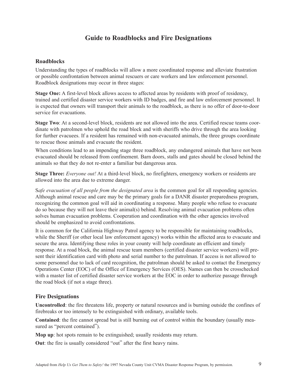## **Guide to Roadblocks and Fire Designations**

#### **Roadblocks**

Understanding the types of roadblocks will allow a more coordinated response and alleviate frustration or possible confrontation between animal rescuers or care workers and law enforcement personnel. Roadblock designations may occur in three stages:

**Stage One:** A first-level block allows access to affected areas by residents with proof of residency, trained and certified disaster service workers with ID badges, and fire and law enforcement personnel. It is expected that owners will transport their animals to the roadblock, as there is no offer of door-to-door service for evacuations.

**Stage Two**: At a second-level block, residents are not allowed into the area. Certified rescue teams coordinate with patrolmen who uphold the road block and with sheriffs who drive through the area looking for further evacuees. If a resident has remained with non-evacuated animals, the three groups coordinate to rescue those animals and evacuate the resident.

When conditions lead to an impending stage three roadblock, any endangered animals that have not been evacuated should be released from confinement. Barn doors, stalls and gates should be closed behind the animals so that they do not re-enter a familiar but dangerous area.

**Stage Three:** *Everyone out!* At a third-level block, no firefighters, emergency workers or residents are allowed into the area due to extreme danger.

S*afe evacuation of all people from the designated area* is the common goal for all responding agencies. Although animal rescue and care may be the primary goals for a DANR disaster preparedness program, recognizing the common goal will aid in coordinating a response. Many people who refuse to evacuate do so because they will not leave their animal(s) behind. Resolving animal evacuation problems often solves human evacuation problems. Cooperation and coordination with the other agencies involved should be emphasized to avoid confrontations.

It is common for the California Highway Patrol agency to be responsible for maintaining roadblocks, while the Sheriff (or other local law enforcement agency) works within the affected area to evacuate and secure the area. Identifying these roles in your county will help coordinate an efficient and timely response. At a road block, the animal rescue team members (certified disaster service workers) will present their identification card with photo and serial number to the patrolman. If access is not allowed to some personnel due to lack of card recognition, the patrolman should be asked to contact the Emergency Operations Center (EOC) of the Office of Emergency Services (OES). Names can then be crosschecked with a master list of certified disaster service workers at the EOC in order to authorize passage through the road block (if not a stage three).

#### **Fire Designations**

**Uncontrolled**: the fire threatens life, property or natural resources and is burning outside the confines of firebreaks or too intensely to be extinguished with ordinary, available tools.

**Contained**: the fire cannot spread but is still burning out of control within the boundary (usually measured as "percent contained").

**Mop up**: hot spots remain to be extinguished; usually residents may return.

**Out**: the fire is usually considered "out" after the first heavy rains.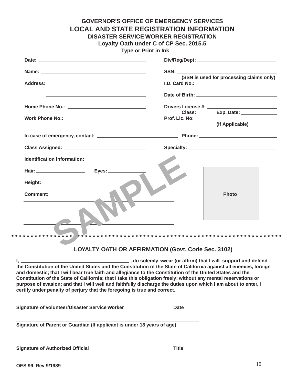| Date: <u>Date:</u> The Contract of the Contract of the Contract of the Contract of the Contract of the Contract of the Contract of the Contract of the Contract of the Contract of the Contract of the Contract of the Contract of |                                                                                                                                                                                                                                                                                                                                                                                                                                                                                                                                                            |
|------------------------------------------------------------------------------------------------------------------------------------------------------------------------------------------------------------------------------------|------------------------------------------------------------------------------------------------------------------------------------------------------------------------------------------------------------------------------------------------------------------------------------------------------------------------------------------------------------------------------------------------------------------------------------------------------------------------------------------------------------------------------------------------------------|
| Name: Name: Name: Name: Name: Name: Name: Name: Name: Name: Name: Name: Name: Name: Name: Name: Name: Name: Name: Name: Name: Name: Name: Name: Name: Name: Name: Name: Name: Name: Name: Name: Name: Name: Name: Name: Name:      | SSN: Andrew SSN: Andrew SSN: Andrew SSN: Andrew SSN: Andrew SSN: Andrew SSN: Andrew SSN: Andrew SSN: Andrew SSN: Andrew SSN: Andrew SSN: Andrew SSN: Andrew SSN: Andrew SSN: Andrew SSN: Andrew SSN: Andrew SSN: Andrew SSN: A                                                                                                                                                                                                                                                                                                                             |
| Address: Andreas Address Address Andreas Address Address Address Address Address A                                                                                                                                                 | (SSN is used for processing claims only)                                                                                                                                                                                                                                                                                                                                                                                                                                                                                                                   |
|                                                                                                                                                                                                                                    |                                                                                                                                                                                                                                                                                                                                                                                                                                                                                                                                                            |
|                                                                                                                                                                                                                                    | Drivers License #: __________                                                                                                                                                                                                                                                                                                                                                                                                                                                                                                                              |
|                                                                                                                                                                                                                                    | Class: _______ Exp. Date: _____________<br>Prof. Lic. No: _______________                                                                                                                                                                                                                                                                                                                                                                                                                                                                                  |
|                                                                                                                                                                                                                                    | (If Applicable)                                                                                                                                                                                                                                                                                                                                                                                                                                                                                                                                            |
|                                                                                                                                                                                                                                    |                                                                                                                                                                                                                                                                                                                                                                                                                                                                                                                                                            |
|                                                                                                                                                                                                                                    |                                                                                                                                                                                                                                                                                                                                                                                                                                                                                                                                                            |
| <b>Identification Information:</b>                                                                                                                                                                                                 |                                                                                                                                                                                                                                                                                                                                                                                                                                                                                                                                                            |
|                                                                                                                                                                                                                                    |                                                                                                                                                                                                                                                                                                                                                                                                                                                                                                                                                            |
| Height: ____________________                                                                                                                                                                                                       | <b>Photo</b>                                                                                                                                                                                                                                                                                                                                                                                                                                                                                                                                               |
|                                                                                                                                                                                                                                    | <b>LOYALTY OATH OR AFFIRMATION (Govt. Code Sec. 3102)</b>                                                                                                                                                                                                                                                                                                                                                                                                                                                                                                  |
| certify under penalty of perjury that the foregoing is true and correct.                                                                                                                                                           | _____________________, do solemly swear (or affirm) that I will support and defend<br>the Constitution of the United States and the Constitution of the State of California against all enemies, foreign<br>and domestic; that I will bear true faith and allegiance to the Constitution of the United States and the<br>Constitution of the State of California; that I take this obligation freely; without any mental reservations or<br>purpose of evasion; and that I will well and faithfully discharge the duties upon which I am about to enter. I |
|                                                                                                                                                                                                                                    |                                                                                                                                                                                                                                                                                                                                                                                                                                                                                                                                                            |

**Signature of Parent or Guardian (If applicant is under 18 years of age)**

**Signature of Authorized Official Title Title**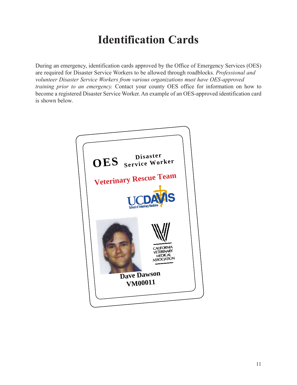# **Identification Cards**

During an emergency, identification cards approved by the Office of Emergency Services (OES) are required for Disaster Service Workers to be allowed through roadblocks. *Professional and volunteer Disaster Service Workers from various organizations must have OES-approved training prior to an emergency.* Contact your county OES office for information on how to become a registered Disaster Service Worker. An example of an OES-approved identification card is shown below.

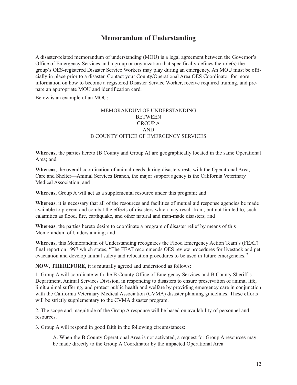## **Memorandum of Understanding**

A disaster-related memorandum of understanding (MOU) is a legal agreement between the Governor's Office of Emergency Services and a group or organization that specifically defines the role(s) the group's OES-registered Disaster Service Workers may play during an emergency. An MOU must be officially in place prior to a disaster. Contact your County/Operational Area OES Coordinator for more information on how to become a registered Disaster Service Worker, receive required training, and prepare an appropriate MOU and identification card.

Below is an example of an MOU:

#### MEMORANDUM OF UNDERSTANDING **BETWEEN** GROUP A AND B COUNTY OFFICE OF EMERGENCY SERVICES

**Whereas**, the parties hereto (B County and Group A) are geographically located in the same Operational Area; and

**Whereas**, the overall coordination of animal needs during disasters rests with the Operational Area, Care and Shelter—Animal Services Branch, the major support agency is the California Veterinary Medical Association; and

**Whereas**, Group A will act as a supplemental resource under this program; and

**Whereas**, it is necessary that all of the resources and facilities of mutual aid response agencies be made available to prevent and combat the effects of disasters which may result from, but not limited to, such calamities as flood, fire, earthquake, and other natural and man-made disasters; and

**Whereas**, the parties hereto desire to coordinate a program of disaster relief by means of this Memorandum of Understanding; and

**Whereas**, this Memorandum of Understanding recognizes the Flood Emergency Action Team's (FEAT) final report on 1997 which states, "The FEAT recommends OES review procedures for livestock and pet evacuation and develop animal safety and relocation procedures to be used in future emergencies."

**NOW**, **THEREFORE**, it is mutually agreed and understood as follows:

1. Group A will coordinate with the B County Office of Emergency Services and B County Sheriff's Department, Animal Services Division, in responding to disasters to ensure preservation of animal life, limit animal suffering, and protect public health and welfare by providing emergency care in conjunction with the California Veterinary Medical Association (CVMA) disaster planning guidelines. These efforts will be strictly supplementary to the CVMA disaster program.

2. The scope and magnitude of the Group A response will be based on availability of personnel and resources.

3. Group A will respond in good faith in the following circumstances:

A. When the B County Operational Area is not activated, a request for Group A resources may be made directly to the Group A Coordinator by the impacted Operational Area.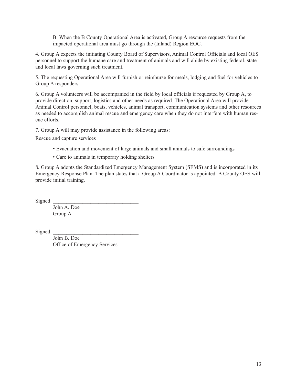B. When the B County Operational Area is activated, Group A resource requests from the impacted operational area must go through the (Inland) Region EOC.

4. Group A expects the initiating County Board of Supervisors, Animal Control Officials and local OES personnel to support the humane care and treatment of animals and will abide by existing federal, state and local laws governing such treatment.

5. The requesting Operational Area will furnish or reimburse for meals, lodging and fuel for vehicles to Group A responders.

6. Group A volunteers will be accompanied in the field by local officials if requested by Group A, to provide direction, support, logistics and other needs as required. The Operational Area will provide Animal Control personnel, boats, vehicles, animal transport, communication systems and other resources as needed to accomplish animal rescue and emergency care when they do not interfere with human rescue efforts.

7. Group A will may provide assistance in the following areas:

Rescue and capture services

- Evacuation and movement of large animals and small animals to safe surroundings
- Care to animals in temporary holding shelters

8. Group A adopts the Standardized Emergency Management System (SEMS) and is incorporated in its Emergency Response Plan. The plan states that a Group A Coordinator is appointed. B County OES will provide initial training.

Signed

John A. Doe Group A

Signed

John B. Doe Office of Emergency Services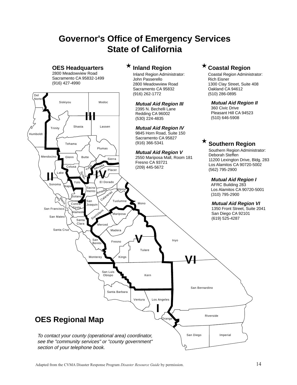# **Governor's Office of Emergency Services State of California**

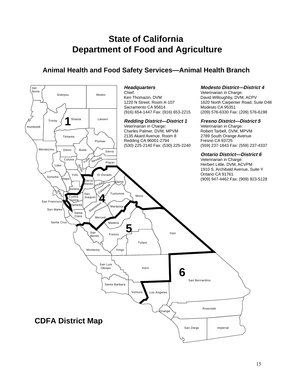# **State of California Department of Food and Agriculture**

## **Animal Health and Food Safety Services—Animal Health Branch**

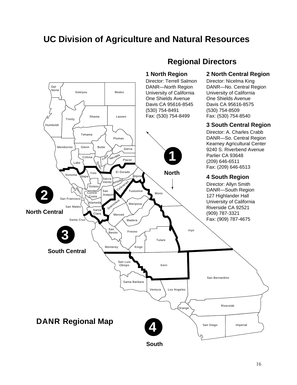# **UC Division of Agriculture and Natural Resources**

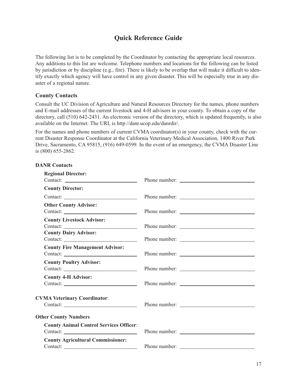## **Quick Reference Guide**

The following list is to be completed by the Coordinator by contacting the appropriate local resources. Any additions to this list are welcome. Telephone numbers and locations for the following can be listed by jurisdiction or by discipline (e.g., fire). There is likely to be overlap that will make it difficult to identify exactly which agency will have control in any given disaster. This will be especially true in any disaster of a regional nature.

#### **County Contacts**

Consult the UC Division of Agriculture and Natural Resources Directory for the names, phone numbers and E-mail addresses of the current livestock and 4-H advisors in your county. To obtain a copy of the directory, call (510) 642-2431. An electronic version of the directory, which is updated frequently, is also available on the Internet. The URL is http://danr.ucop.edu/danrdir/.

For the names and phone numbers of current CVMA coordinator(s) in your county, check with the current Disaster Response Coordinator at the California Veterinary Medical Association, 1400 River Park Drive, Sacramento, CA 95815, (916) 649-0599. In the event of an emergency, the CVMA Disaster Line is (800) 655-2862.

| <b>Regional Director:</b><br>Contact:                            |  |
|------------------------------------------------------------------|--|
| <b>County Director:</b>                                          |  |
| Contact:                                                         |  |
| <b>Other County Advisor:</b><br>Contact:                         |  |
| <b>County Livestock Advisor:</b><br><b>County Dairy Advisor:</b> |  |
| <b>County Fire Management Advisor:</b>                           |  |
| <b>County Poultry Advisor:</b>                                   |  |
| <b>County 4-H Advisor:</b><br>Contact:                           |  |
| <b>CVMA Veterinary Coordinator:</b>                              |  |
| <b>Other County Numbers</b>                                      |  |
| <b>County Animal Control Services Officer:</b>                   |  |
| <b>County Agricultural Commissioner:</b>                         |  |

#### **DANR Contacts**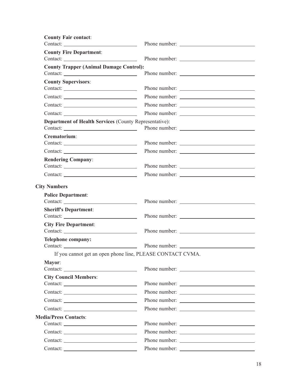| Phone number:                                                                  |
|--------------------------------------------------------------------------------|
|                                                                                |
| <b>County Trapper (Animal Damage Control):</b>                                 |
|                                                                                |
| Phone number:                                                                  |
| Phone number:<br>Contact:                                                      |
| Phone number:                                                                  |
| <b>Department of Health Services (County Representative):</b><br>Phone number: |
|                                                                                |
| Phone number:                                                                  |
| Phone number:                                                                  |
| Phone number:                                                                  |
|                                                                                |
|                                                                                |
|                                                                                |
|                                                                                |
|                                                                                |
|                                                                                |
| If you cannot get an open phone line, PLEASE CONTACT CVMA.                     |
|                                                                                |
|                                                                                |
| Phone number:                                                                  |
| Phone number:                                                                  |
|                                                                                |
| Phone number:                                                                  |
| Phone number:                                                                  |
|                                                                                |
|                                                                                |
|                                                                                |
|                                                                                |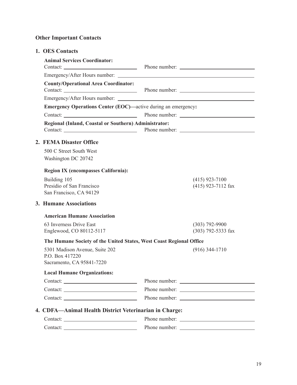## **Other Important Contacts**

#### **1. OES Contacts**

| <b>Animal Services Coordinator:</b>                                            |  |                                          |  |
|--------------------------------------------------------------------------------|--|------------------------------------------|--|
|                                                                                |  |                                          |  |
| <b>County/Operational Area Coordinator:</b>                                    |  |                                          |  |
|                                                                                |  |                                          |  |
| <b>Emergency Operations Center (EOC)—active during an emergency:</b>           |  |                                          |  |
|                                                                                |  |                                          |  |
| Regional (Inland, Coastal or Southern) Administrator:                          |  |                                          |  |
| 2. FEMA Disaster Office                                                        |  |                                          |  |
| 500 C Street South West<br>Washington DC 20742                                 |  |                                          |  |
| <b>Region IX (encompasses California):</b>                                     |  |                                          |  |
| Building 105<br>Presidio of San Francisco<br>San Francisco, CA 94129           |  | $(415)$ 923-7100<br>(415) 923-7112 fax   |  |
| 3. Humane Associations                                                         |  |                                          |  |
| <b>American Humane Association</b>                                             |  |                                          |  |
| 63 Inverness Drive East<br>Englewood, CO 80112-5117                            |  | $(303) 792 - 9900$<br>(303) 792-5333 fax |  |
| The Humane Society of the United States, West Coast Regional Office            |  |                                          |  |
| 5301 Madison Avenue, Suite 202<br>P.O. Box 417220<br>Sacramento, CA 95841-7220 |  | $(916)$ 344-1710                         |  |
| <b>Local Humane Organizations:</b>                                             |  |                                          |  |
|                                                                                |  |                                          |  |
| Contact:                                                                       |  | Phone number:                            |  |
| Contact:                                                                       |  |                                          |  |
| 4. CDFA—Animal Health District Veterinarian in Charge:                         |  |                                          |  |
|                                                                                |  |                                          |  |
|                                                                                |  | Phone number:                            |  |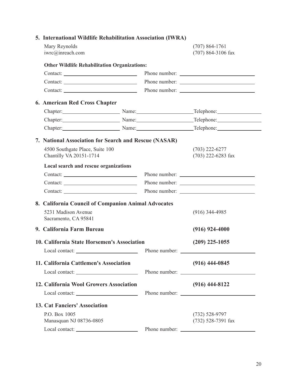| Mary Reynolds | iwrc@inreach.com                                      | $(707) 864 - 1761$<br>$(707)$ 864-3106 fax        |
|---------------|-------------------------------------------------------|---------------------------------------------------|
|               | <b>Other Wildlife Rehabilitation Organizations:</b>   |                                                   |
|               | Contact:                                              |                                                   |
|               |                                                       |                                                   |
|               | Contact:                                              |                                                   |
|               | 6. American Red Cross Chapter                         |                                                   |
|               | Chapter: Name: Name:                                  | $\Box$ Telephone: $\Box$                          |
|               | Chapter: Name: Name:                                  | Telephone:                                        |
|               |                                                       | Chapter: Name: Name: Telephone: Memorial Chapter: |
|               | 7. National Association for Search and Rescue (NASAR) |                                                   |
|               | 4500 Southgate Place, Suite 100                       | $(703)$ 222-6277                                  |
|               | Chantilly VA 20151-1714                               | $(703)$ 222-6283 fax                              |
|               | Local search and rescue organizations                 |                                                   |
|               | Contact:                                              |                                                   |
|               |                                                       | Phone number:                                     |
|               |                                                       |                                                   |
|               | 8. California Council of Companion Animal Advocates   |                                                   |
|               | 5231 Madison Avenue<br>Sacramento, CA 95841           | $(916)$ 344-4985                                  |
|               | 9. California Farm Bureau                             | $(916) 924 - 4000$                                |
|               | 10. California State Horsemen's Association           | $(209)$ 225-1055                                  |
|               |                                                       |                                                   |
|               | 11. California Cattlemen's Association                | $(916)$ 444-0845                                  |
|               |                                                       |                                                   |
|               | 12. California Wool Growers Association               | $(916)$ 444-8122                                  |
|               |                                                       |                                                   |
|               | <b>13. Cat Fanciers' Association</b>                  |                                                   |
| P.O. Box 1005 |                                                       | $(732) 528 - 9797$                                |
|               | Manasquan NJ 08736-0805                               | (732) 528-7391 fax                                |
|               | Local contact:                                        |                                                   |

## **5. International Wildlife Rehabilitation Association (IWRA)**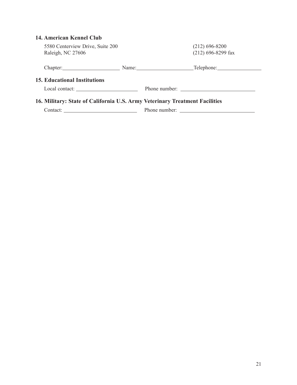### **14. American Kennel Club**

| 5580 Centerview Drive, Suite 200<br>Raleigh, NC 27606                       | $(212)$ 696-8200<br>$(212)$ 696-8299 fax                                                                                                                                                                                       |
|-----------------------------------------------------------------------------|--------------------------------------------------------------------------------------------------------------------------------------------------------------------------------------------------------------------------------|
|                                                                             | Chapter: Name: Name: Telephone: Name: Name: Name: Name: Name: Name: Name: Name: Name: Name: Name: Name: Name: Name: Name: Name: Name: Name: Name: Name: Name: Name: Name: Name: Name: Name: Name: Name: Name: Name: Name: Name |
| <b>15. Educational Institutions</b>                                         |                                                                                                                                                                                                                                |
| Local contact:                                                              |                                                                                                                                                                                                                                |
| 16. Military: State of California U.S. Army Veterinary Treatment Facilities |                                                                                                                                                                                                                                |
|                                                                             |                                                                                                                                                                                                                                |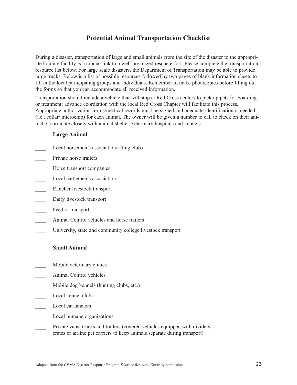## **Potential Animal Transportation Checklist**

During a disaster, transportation of large and small animals from the site of the disaster to the appropriate holding facility is a crucial link to a well-organized rescue effort. Please complete the transportation resource list below. For large scale disasters, the Department of Transportation may be able to provide large trucks. Below is a list of possible resources followed by two pages of blank information sheets to fill in the local participating groups and individuals. Remember to make photocopies before filling out the forms so that you can accommodate all received information.

Transportation should include a vehicle that will stop at Red Cross centers to pick up pets for boarding or treatment; advance coordiation with the local Red Cross Chapter will facilitate this process. Appropriate authorization forms/medical records must be signed and adequate identification is needed (i.e., collar/ microchip) for each animal. The owner will be given a number to call to check on their animal. Coordinate closely with animal shelter, veterinary hospitals and kennels.

#### **Large Animal**

- Local horsemen's association/riding clubs
- Private horse trailers
- Horse transport companies
- Local cattlemen's association
- \_\_\_\_ Rancher livestock transport
- Dairy livestock transport
- Feedlot transport
- Animal Control vehicles and horse trailers
- University, state and community college livestock transport

#### **Small Animal**

- Mobile veterinary clinics
- \_\_\_\_ Animal Control vehicles
- Mobile dog kennels (hunting clubs, etc.)
- Local kennel clubs
- Local cat fanciers
- Local humane organizations
- Private vans, trucks and trailers (covered vehicles equipped with dividers, crates or airline pet carriers to keep animals separate during transport)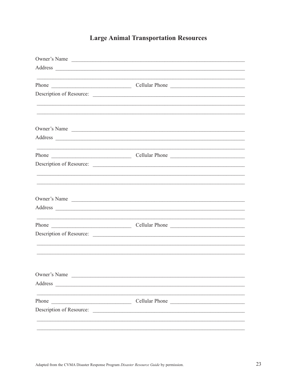# **Large Animal Transportation Resources**

|                                                                                                                                  | Owner's Name                                                                     |
|----------------------------------------------------------------------------------------------------------------------------------|----------------------------------------------------------------------------------|
|                                                                                                                                  |                                                                                  |
|                                                                                                                                  | ,我们也不会有什么。""我们的人,我们也不会有什么?""我们的人,我们也不会有什么?""我们的人,我们也不会有什么?""我们的人,我们也不会有什么?""我们的人 |
|                                                                                                                                  |                                                                                  |
|                                                                                                                                  | Description of Resource:                                                         |
|                                                                                                                                  |                                                                                  |
|                                                                                                                                  |                                                                                  |
|                                                                                                                                  | Owner's Name                                                                     |
|                                                                                                                                  |                                                                                  |
|                                                                                                                                  |                                                                                  |
|                                                                                                                                  |                                                                                  |
|                                                                                                                                  | Description of Resource:                                                         |
|                                                                                                                                  |                                                                                  |
|                                                                                                                                  |                                                                                  |
|                                                                                                                                  | Owner's Name                                                                     |
|                                                                                                                                  |                                                                                  |
|                                                                                                                                  |                                                                                  |
|                                                                                                                                  |                                                                                  |
|                                                                                                                                  | Description of Resource:                                                         |
|                                                                                                                                  |                                                                                  |
|                                                                                                                                  |                                                                                  |
|                                                                                                                                  |                                                                                  |
| Owner's Name                                                                                                                     |                                                                                  |
| Address<br><u> 1980 - Andrea State Barbara, amerikan personal di sebagai personal di sebagai personal di sebagai personal di</u> |                                                                                  |
|                                                                                                                                  |                                                                                  |
| Phone<br><u> 1989 - Johann Stein, mars ar breithinn ar chwaraeth a bhaile ann an t-</u>                                          | Cellular Phone                                                                   |
| Description of Resource:                                                                                                         |                                                                                  |
|                                                                                                                                  |                                                                                  |
|                                                                                                                                  |                                                                                  |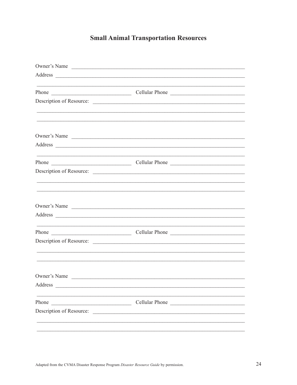# **Small Animal Transportation Resources**

|                                                                                                                                | Owner's Name                                                                                                                  |  |
|--------------------------------------------------------------------------------------------------------------------------------|-------------------------------------------------------------------------------------------------------------------------------|--|
|                                                                                                                                |                                                                                                                               |  |
|                                                                                                                                |                                                                                                                               |  |
|                                                                                                                                |                                                                                                                               |  |
|                                                                                                                                | Description of Resource:                                                                                                      |  |
|                                                                                                                                | <u> 1989 - Andrea Santa Andrea Santa Andrea Santa Andrea Santa Andrea Santa Andrea Santa Andrea Santa Andrea San</u>          |  |
|                                                                                                                                |                                                                                                                               |  |
|                                                                                                                                | Owner's Name                                                                                                                  |  |
|                                                                                                                                |                                                                                                                               |  |
|                                                                                                                                | <u> 1980 - Jan Barbara, martxa al II-lea (h. 1980).</u><br>1900 - Johann Barbara, frantziar musika eta biztanleria (h. 1900). |  |
|                                                                                                                                |                                                                                                                               |  |
|                                                                                                                                |                                                                                                                               |  |
|                                                                                                                                | ,我们也不会有什么。""我们的人,我们也不会有什么?""我们的人,我们也不会有什么?""我们的人,我们也不会有什么?""我们的人,我们也不会有什么?""我们的人                                              |  |
|                                                                                                                                |                                                                                                                               |  |
|                                                                                                                                |                                                                                                                               |  |
|                                                                                                                                | Owner's Name                                                                                                                  |  |
|                                                                                                                                |                                                                                                                               |  |
| <u> 1980 - Jan Sterling, amerikansk politiker (d. 1980)</u>                                                                    | <u> 1980 - Jan Barbara, martxa al II-lea (h. 1980).</u><br>1900 - Johann Barbara, frantziar musika artean (h. 1900).          |  |
|                                                                                                                                |                                                                                                                               |  |
|                                                                                                                                | Description of Resource:                                                                                                      |  |
|                                                                                                                                | <u> 1989 - Johann Stoff, amerikansk politiker (d. 1989)</u>                                                                   |  |
|                                                                                                                                |                                                                                                                               |  |
| Owner's Name                                                                                                                   |                                                                                                                               |  |
|                                                                                                                                |                                                                                                                               |  |
|                                                                                                                                |                                                                                                                               |  |
| Phone<br><u> 1989 - Johann Barn, mars and de Branch Barn, mars and de Branch Barn, mars and de Branch Barn, mars and de Br</u> | Cellular Phone                                                                                                                |  |
|                                                                                                                                | Description of Resource:                                                                                                      |  |
|                                                                                                                                |                                                                                                                               |  |
|                                                                                                                                |                                                                                                                               |  |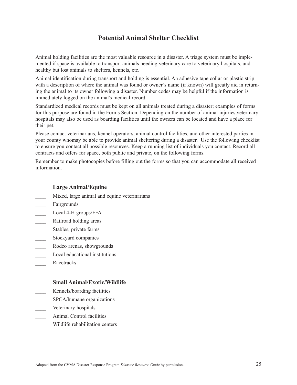## **Potential Animal Shelter Checklist**

Animal holding facilities are the most valuable resource in a disaster. A triage system must be implemented if space is available to transport animals needing veterinary care to veterinary hospitals, and healthy but lost animals to shelters, kennels, etc.

Animal identification during transport and holding is essential. An adhesive tape collar or plastic strip with a description of where the animal was found or owner's name (if known) will greatly aid in returning the animal to its owner following a disaster. Number codes may be helpful if the information is immediately logged on the animal's medical record.

Standardized medical records must be kept on all animals treated during a disaster; examples of forms for this purpose are found in the Forms Section. Depending on the number of animal injuries,veterinary hospitals may also be used as boarding facilities until the owners can be located and have a place for their pet.

Please contact veterinarians, kennel operators, animal control facilities, and other interested parties in your county whomay be able to provide animal sheltering during a disaster. Use the following checklist to ensure you contact all possible resources. Keep a running list of individuals you contact. Record all contracts and offers for space, both public and private, on the following forms.

Remember to make photocopies before filling out the forms so that you can accommodate all received information.

#### **Large Animal/Equine**

- Mixed, large animal and equine veterinarians
- Fairgrounds
- Local 4-H groups/FFA
- Railroad holding areas
- \_\_\_\_ Stables, private farms
- Stockyard companies
- Rodeo arenas, showgrounds
- Local educational institutions
- \_\_\_\_ Racetracks

#### **Small Animal/Exotic/Wildlife**

- \_\_\_\_ Kennels/boarding facilities
- SPCA/humane organizations
- Veterinary hospitals
- Animal Control facilities
- Wildlife rehabilitation centers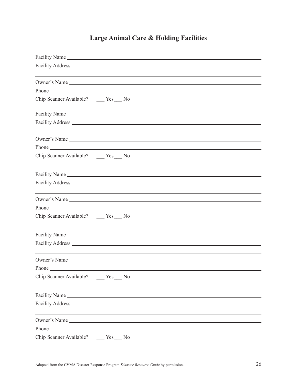# **Large Animal Care & Holding Facilities**

| Chip Scanner Available? _____ Yes____ No         |  |
|--------------------------------------------------|--|
|                                                  |  |
|                                                  |  |
|                                                  |  |
|                                                  |  |
|                                                  |  |
| Chip Scanner Available? _____ Yes____ No         |  |
|                                                  |  |
|                                                  |  |
|                                                  |  |
|                                                  |  |
|                                                  |  |
| Chip Scanner Available? _____ Yes____ No         |  |
|                                                  |  |
|                                                  |  |
|                                                  |  |
|                                                  |  |
|                                                  |  |
| Chip Scanner Available? Yes No                   |  |
|                                                  |  |
|                                                  |  |
|                                                  |  |
|                                                  |  |
| Phone <b>Phone</b>                               |  |
| Chip Scanner Available?<br>Yes<br>N <sub>0</sub> |  |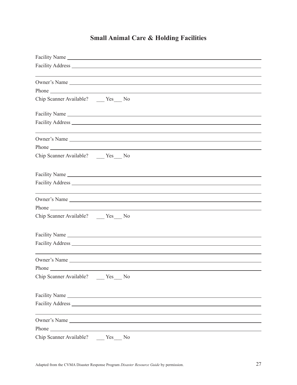# **Small Animal Care & Holding Facilities**

| Chip Scanner Available? _____ Yes____ No                                         |  |
|----------------------------------------------------------------------------------|--|
|                                                                                  |  |
|                                                                                  |  |
| ,我们也不能在这里的时候,我们也不能在这里的时候,我们也不能会在这里的时候,我们也不能会在这里的时候,我们也不能会在这里的时候,我们也不能会在这里的时候,我们也 |  |
|                                                                                  |  |
|                                                                                  |  |
| Chip Scanner Available? ______ Yes_____ No                                       |  |
|                                                                                  |  |
|                                                                                  |  |
|                                                                                  |  |
|                                                                                  |  |
|                                                                                  |  |
| Chip Scanner Available? _____ Yes____ No                                         |  |
|                                                                                  |  |
|                                                                                  |  |
|                                                                                  |  |
|                                                                                  |  |
|                                                                                  |  |
| Chip Scanner Available? Yes No                                                   |  |
|                                                                                  |  |
|                                                                                  |  |
|                                                                                  |  |
| Owner's Name                                                                     |  |
|                                                                                  |  |
| Chip Scanner Available?<br>Yes<br>N <sub>0</sub>                                 |  |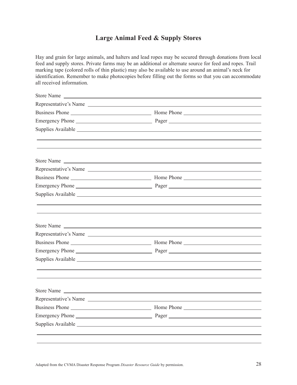## **Large Animal Feed & Supply Stores**

Hay and grain for large animals, and halters and lead ropes may be secured through donations from local feed and supply stores. Private farms may be an additional or alternate source for feed and ropes. Trail marking tape (colored rolls of thin plastic) may also be available to use around an animal's neck for identification. Remember to make photocopies before filling out the forms so that you can accommodate all received information.

| Representative's Name |
|-----------------------|
|                       |
|                       |
|                       |
|                       |
|                       |
| Store Name            |
| Representative's Name |
|                       |
|                       |
|                       |
|                       |
|                       |
| Store Name            |
| Representative's Name |
|                       |
|                       |
|                       |
|                       |
|                       |
| Store Name            |
| Representative's Name |
|                       |
|                       |
|                       |
|                       |
|                       |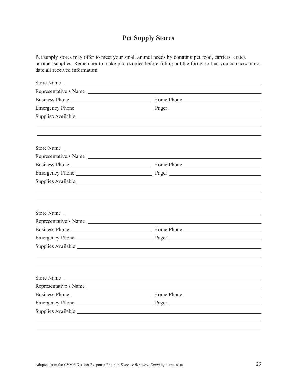## **Pet Supply Stores**

Pet supply stores may offer to meet your small animal needs by donating pet food, carriers, crates or other supplies. Remember to make photocopies before filling out the forms so that you can accommodate all received information.

| Representative's Name |
|-----------------------|
|                       |
|                       |
|                       |
|                       |
|                       |
| Store Name            |
| Representative's Name |
|                       |
|                       |
|                       |
|                       |
|                       |
|                       |
| Store Name            |
| Representative's Name |
|                       |
|                       |
|                       |
|                       |
|                       |
| Store Name            |
| Representative's Name |
|                       |
|                       |
|                       |
|                       |
|                       |
|                       |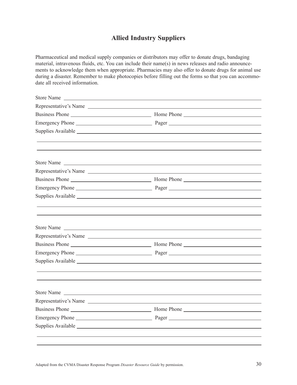## **Allied Industry Suppliers**

Pharmaceutical and medical supply companies or distributors may offer to donate drugs, bandaging material, intravenous fluids, etc. You can include their name(s) in news releases and radio announcements to acknowledge them when appropriate. Pharmacies may also offer to donate drugs for animal use during a disaster. Remember to make photocopies before filling out the forms so that you can accommodate all received information.

| <b>Store Name</b><br><u> Andreas Andreas (1989)</u> |                                                                                                                                                                                                                                |
|-----------------------------------------------------|--------------------------------------------------------------------------------------------------------------------------------------------------------------------------------------------------------------------------------|
|                                                     | Representative's Name                                                                                                                                                                                                          |
|                                                     |                                                                                                                                                                                                                                |
|                                                     |                                                                                                                                                                                                                                |
|                                                     | Supplies Available example and the same state of the state of the state of the state of the state of the state of the state of the state of the state of the state of the state of the state of the state of the state of the  |
|                                                     |                                                                                                                                                                                                                                |
|                                                     |                                                                                                                                                                                                                                |
|                                                     | Store Name                                                                                                                                                                                                                     |
|                                                     | Representative's Name                                                                                                                                                                                                          |
|                                                     |                                                                                                                                                                                                                                |
|                                                     |                                                                                                                                                                                                                                |
|                                                     | Supplies Available experience and the contract of the contract of the contract of the contract of the contract of the contract of the contract of the contract of the contract of the contract of the contract of the contract |
|                                                     |                                                                                                                                                                                                                                |
|                                                     |                                                                                                                                                                                                                                |
|                                                     | Store Name                                                                                                                                                                                                                     |
|                                                     | Representative's Name                                                                                                                                                                                                          |
|                                                     |                                                                                                                                                                                                                                |
|                                                     |                                                                                                                                                                                                                                |
|                                                     |                                                                                                                                                                                                                                |
|                                                     |                                                                                                                                                                                                                                |
|                                                     |                                                                                                                                                                                                                                |
|                                                     | Store Name                                                                                                                                                                                                                     |
|                                                     | Representative's Name                                                                                                                                                                                                          |
|                                                     |                                                                                                                                                                                                                                |
|                                                     |                                                                                                                                                                                                                                |
|                                                     |                                                                                                                                                                                                                                |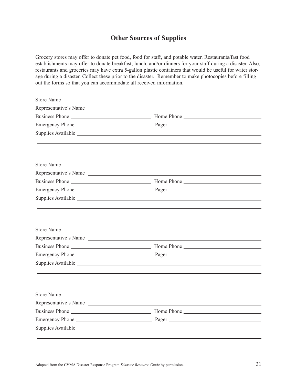## **Other Sources of Supplies**

Grocery stores may offer to donate pet food, food for staff, and potable water. Restaurants/fast food establishments may offer to donate breakfast, lunch, and/or dinners for your staff during a disaster. Also, restaurants and groceries may have extra 5-gallon plastic containers that would be useful for water storage during a disaster. Collect these prior to the disaster. Remember to make photocopies before filling out the forms so that you can accommodate all received information.

| Store Name |                       |
|------------|-----------------------|
|            | Representative's Name |
|            |                       |
|            |                       |
|            |                       |
|            |                       |
|            |                       |
| Store Name |                       |
|            | Representative's Name |
|            |                       |
|            |                       |
|            |                       |
|            |                       |
|            |                       |
|            | Store Name            |
|            | Representative's Name |
|            |                       |
|            |                       |
|            |                       |
|            |                       |
|            |                       |
|            | Store Name            |
|            |                       |
|            |                       |
|            |                       |
|            |                       |
|            |                       |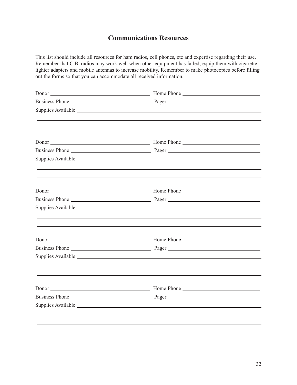## **Communications Resources**

This list should include all resources for ham radios, cell phones, etc and expertise regarding their use. Remember that C.B. radios may work well when other equipment has failed; equip them with cigarette lighter adapters and mobile antennas to increase mobility. Remember to make photocopies before filling out the forms so that you can accommodate all received information.

| <u> 1989 - Johann Stoff, amerikansk politiker (d. 1989)</u> |  |
|-------------------------------------------------------------|--|
|                                                             |  |
|                                                             |  |
|                                                             |  |
|                                                             |  |
|                                                             |  |
|                                                             |  |
|                                                             |  |
|                                                             |  |
|                                                             |  |
|                                                             |  |
|                                                             |  |
|                                                             |  |
|                                                             |  |
|                                                             |  |
|                                                             |  |
|                                                             |  |
|                                                             |  |
|                                                             |  |
|                                                             |  |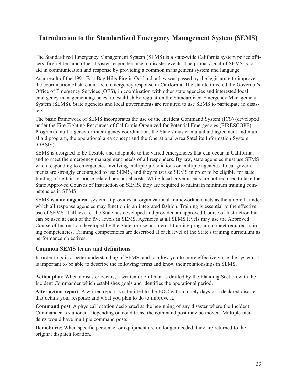## **Introduction to the Standardized Emergency Management System (SEMS)**

The Standardized Emergency Management System (SEMS) is a state-wide California system police officers, firefighters and other disaster responders use in disaster events. The primary goal of SEMS is to aid in communication and response by providing a common management system and language.

As a result of the 1991 East Bay Hills Fire in Oakland, a law was passed by the legislature to improve the coordination of state and local emergency response in California. The statute directed the Governor's Office of Emergency Services (OES), in coordination with other state agencies and interested local emergency management agencies, to establish by regulation the Standardized Emergency Management System (SEMS). State agencies and local governments are required to use SEMS to participate in disasters.

The basic framework of SEMS incorporates the use of the Incident Command System (ICS) (developed under the Fire Fighting Resources of California Organized for Potential Emergencies (FIRESCOPE) Program,) multi-agency or inter-agency coordination, the State's master mutual aid agreement and mutual aid program, the operational area concept and the Operational Area Satellite Information System (OASIS).

SEMS is designed to be flexible and adaptable to the varied emergencies that can occur in California, and to meet the emergency management needs of all responders. By law, state agencies must use SEMS when responding to emergencies involving multiple jurisdictions or multiple agencies. Local governments are strongly encouraged to use SEMS, and they must use SEMS in order to be eligible for state funding of certain response related personnel costs. While local governments are not required to take the State Approved Courses of Instruction on SEMS, they are required to maintain minimum training competencies in SEMS.

SEMS is a **management** system. It provides an organizational framework and acts as the umbrella under which all response agencies may function in an integrated fashion. Training is essential to the effective use of SEMS at all levels. The State has developed and provided an approved Course of Instruction that can be used at each of the five levels in SEMS. Agencies at all SEMS levels may use the Approved Course of Instruction developed by the State, or use an internal training program to meet required training competencies. Training competencies are described at each level of the State's training curriculum as performance objectives.

#### **Common SEMS terms and definitions**

In order to gain a better understanding of SEMS, and to allow you to more effectively use the system, it is important to be able to describe the following terms and know their relationships in SEMS.

**Action plan**: When a disaster occurs, a written or oral plan is drafted by the Planning Section with the Incident Commander which establishes goals and identifies the operational period.

**After action report**: A written report is submitted to the EOC within ninety days of a declared disaster that details your response and what you plan to do to improve it.

**Command post**: A physical location designated at the beginning of any disaster where the Incident Commander is stationed. Depending on conditions, the command post may be moved. Multiple incidents would have multiple command posts.

**Demobilize**: When specific personnel or equipment are no longer needed, they are returned to the original dispatch location.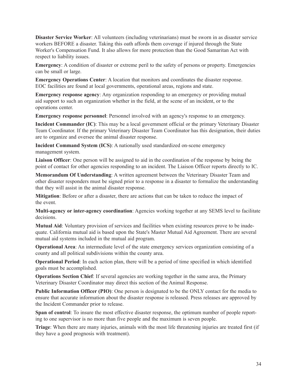**Disaster Service Worker**: All volunteers (including veterinarians) must be sworn in as disaster service workers BEFORE a disaster. Taking this oath affords them coverage if injured through the State Worker's Compensation Fund. It also allows for more protection than the Good Samaritan Act with respect to liability issues.

**Emergency**: A condition of disaster or extreme peril to the safety of persons or property. Emergencies can be small or large.

**Emergency Operations Center**: A location that monitors and coordinates the disaster response. EOC facilities are found at local governments, operational areas, regions and state.

**Emergency response agency**: Any organization responding to an emergency or providing mutual aid support to such an organization whether in the field, at the scene of an incident, or to the operations center.

**Emergency response personnel**: Personnel involved with an agency's response to an emergency.

**Incident Commander (IC)**: This may be a local government official or the primary Veterinary Disaster Team Coordinator. If the primary Veterinary Disaster Team Coordinator has this designation, their duties are to organize and oversee the animal disaster response.

**Incident Command System (ICS)**: A nationally used standardized on-scene emergency management system.

**Liaison Officer**: One person will be assigned to aid in the coordination of the response by being the point of contact for other agencies responding to an incident. The Liaison Officer reports directly to IC.

**Memorandum Of Understanding**: A written agreement between the Veterinary Disaster Team and other disaster responders must be signed prior to a response in a disaster to formalize the understanding that they will assist in the animal disaster response.

**Mitigation**: Before or after a disaster, there are actions that can be taken to reduce the impact of the event.

**Multi-agency or inter-agency coordination**: Agencies working together at any SEMS level to facilitate decisions.

**Mutual Aid**: Voluntary provision of services and facilities when existing resources prove to be inadequate. California mutual aid is based upon the State's Master Mutual Aid Agreement. There are several mutual aid systems included in the mutual aid program.

**Operational Area**: An intermediate level of the state emergency services organization consisting of a county and all political subdivisions within the county area.

**Operational Period**: In each action plan, there will be a period of time specified in which identified goals must be accomplished.

**Operations Section Chief**: If several agencies are working together in the same area, the Primary Veterinary Disaster Coordinator may direct this section of the Animal Response.

**Public Information Officer (PIO)**: One person is designated to be the ONLY contact for the media to ensure that accurate information about the disaster response is released. Press releases are approved by the Incident Commander prior to release.

**Span of control**: To insure the most effective disaster response, the optimum number of people reporting to one supervisor is no more than five people and the maximum is seven people.

**Triage**: When there are many injuries, animals with the most life threatening injuries are treated first (if they have a good prognosis with treatment).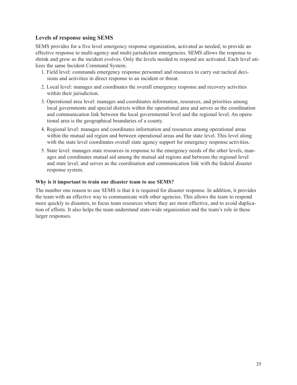#### **Levels of response using SEMS**

SEMS provides for a five level emergency response organization, activated as needed, to provide an effective response to multi-agency and multi-jurisdiction emergencies. SEMS allows the response to shrink and grow as the incident evolves. Only the levels needed to respond are activated. Each level utilizes the same Incident Command System.

- 1. Field level: commands emergency response personnel and resources to carry out tactical decisions and activities in direct response to an incident or threat.
- 2. Local level: manages and coordinates the overall emergency response and recovery activities within their jurisdiction.
- 3. Operational area level: manages and coordinates information, resources, and priorities among local governments and special districts within the operational area and serves as the coordination and communication link between the local governmental level and the regional level. An operational area is the geographical boundaries of a county.
- 4. Regional level: manages and coordinates information and resources among operational areas within the mutual aid region and between operational areas and the state level. This level along with the state level coordinates overall state agency support for emergency response activities.
- 5. State level: manages state resources in response to the emergency needs of the other levels, manages and coordinates mutual aid among the mutual aid regions and between the regional level and state level, and serves as the coordination and communication link with the federal disaster response system.

#### **Why is it important to train our disaster team to use SEMS?**

The number one reason to use SEMS is that it is required for disaster response. In addition, it provides the team with an effective way to communicate with other agencies. This allows the team to respond more quickly to disasters, to focus team resources where they are most effective, and to avoid duplication of efforts. It also helps the team understand state-wide organization and the team's role in these larger responses.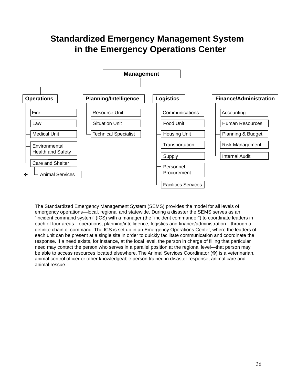# **Standardized Emergency Management System in the Emergency Operations Center**



The Standardized Emergency Management System (SEMS) provides the model for all levels of emergency operations—local, regional and statewide. During a disaster the SEMS serves as an "incident command system" (ICS) with a manager (the "incident commander") to coordinate leaders in each of four areas—operations, planning/intelligence, logistics and finance/administration—through a definite chain of command. The ICS is set up in an Emergency Operations Center, where the leaders of each unit can be present at a single site in order to quickly facilitate communication and coordinate the response. If a need exists, for instance, at the local level, the person in charge of filling that particular need may contact the person who serves in a parallel position at the regional level—that person may be able to access resources located elsewhere. The Animal Services Coordinator ( $\mathcal{R}$ ) is a veterinarian, animal control officer or other knowledgeable person trained in disaster response, animal care and animal rescue.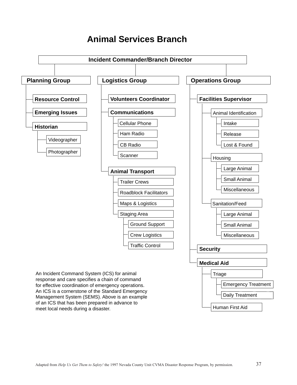# **Animal Services Branch**

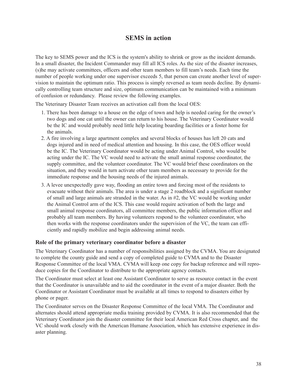#### **SEMS in action**

The key to SEMS power and the ICS is the system's ability to shrink or grow as the incident demands. In a small disaster, the Incident Commander may fill all ICS roles. As the size of the disaster increases, (s)he may activate committees, officers and other team members to fill team's needs. Each time the number of people working under one supervisor exceeds 5, that person can create another level of supervision to maintain the optimum ratio. This process is simply reversed as team needs decline. By dynamically controlling team structure and size, optimum communication can be maintained with a minimum of confusion or redundancy. Please review the following examples.

The Veterinary Disaster Team receives an activation call from the local OES:

- 1. There has been damage to a house on the edge of town and help is needed caring for the owner's two dogs and one cat until the owner can return to his house. The Veterinary Coordinator would be the IC and would probably need little help locating boarding facilities or a foster home for the animals.
- 2. A fire involving a large apartment complex and several blocks of houses has left 20 cats and dogs injured and in need of medical attention and housing. In this case, the OES officer would be the IC. The Veterinary Coordinator would be acting under Animal Control, who would be acting under the IC. The VC would need to activate the small animal response coordinator, the supply committee, and the volunteer coordinator. The VC would brief these coordinators on the situation, and they would in turn activate other team members as necessary to provide for the immediate response and the housing needs of the injured animals.
- 3. A levee unexpectedly gave way, flooding an entire town and forcing most of the residents to evacuate without their animals. The area is under a stage 2 roadblock and a significant number of small and large animals are stranded in the water. As in #2, the VC would be working under the Animal Control arm of the ICS. This case would require activation of both the large and small animal response coordinators, all committee members, the public information officer and probably all team members. By having volunteers respond to the volunteer coordinator, who then works with the response coordinators under the supervision of the VC, the team can efficiently and rapidly mobilize and begin addressing animal needs.

#### **Role of the primary veterinary coordinator before a disaster**

The Veterinary Coordinator has a number of responsibilities assigned by the CVMA. You are designated to complete the county guide and send a copy of completed guide to CVMA and to the Disaster Response Committee of the local VMA. CVMA will keep one copy for backup reference and will reproduce copies for the Coordinator to distribute to the appropriate agency contacts.

The Coordinator must select at least one Assistant Coordinator to serve as resource contact in the event that the Coordinator is unavailable and to aid the coordinator in the event of a major disaster. Both the Coordinator or Assistant Coordinator must be available at all times to respond to disasters either by phone or pager.

The Coordinator serves on the Disaster Response Committee of the local VMA. The Coordinator and alternates should attend appropriate media training provided by CVMA. It is also recommended that the Veterinary Coordinator join the disaster committee for their local American Red Cross chapter, and the VC should work closely with the American Humane Association, which has extensive experience in disaster planning.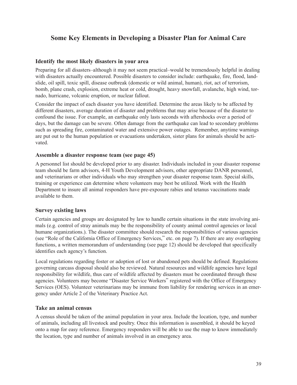# **Some Key Elements in Developing a Disaster Plan for Animal Care**

#### **Identify the most likely disasters in your area**

Preparing for all disasters–although it may not seem practical–would be tremendously helpful in dealing with disasters actually encountered. Possible disasters to consider include: earthquake, fire, flood, landslide, oil spill, toxic spill, disease outbreak (domestic or wild animal, human), riot, act of terrorism, bomb, plane crash, explosion, extreme heat or cold, drought, heavy snowfall, avalanche, high wind, tornado, hurricane, volcanic eruption, or nuclear fallout.

Consider the impact of each disaster you have identified. Determine the areas likely to be affected by different disasters, average duration of disaster and problems that may arise because of the disaster to confound the issue. For example, an earthquake only lasts seconds with aftershocks over a period of days, but the damage can be severe. Often damage from the earthquake can lead to secondary problems such as spreading fire, contaminated water and extensive power outages. Remember, anytime warnings are put out to the human population or evacuations undertaken, sister plans for animals should be activated.

#### **Assemble a disaster response team (see page 45)**

A personnel list should be developed prior to any disaster. Individuals included in your disaster response team should be farm advisors, 4-H Youth Development advisors, other appropriate DANR personnel, and veterinarians or other individuals who may strengthen your disaster response team. Special skills, training or experience can determine where volunteers may best be utilized. Work with the Health Department to insure all animal responders have pre-exposure rabies and tetanus vaccinations made available to them.

#### **Survey existing laws**

Certain agencies and groups are designated by law to handle certain situations in the state involving animals (e.g. control of stray animals may be the responsibility of county animal control agencies or local humane organizations.). The disaster committee should research the responsibilities of various agencies (see "Role of the California Office of Emergency Services," etc. on page 7). If there are any overlapping functions, a written memorandum of understanding (see page 12) should be developed that specifically identifies each agency's function.

Local regulations regarding foster or adoption of lost or abandoned pets should be defined. Regulations governing carcass disposal should also be reviewed. Natural resources and wildlife agencies have legal responsibility for wildlife, thus care of wildlife affected by disasters must be coordinated through these agencies. Volunteers may become "Disaster Service Workers" registered with the Office of Emergency Services (OES). Volunteer veterinarians may be immune from liability for rendering services in an emergency under Article 2 of the Veterinary Practice Act.

#### **Take an animal census**

A census should be taken of the animal population in your area. Include the location, type, and number of animals, including all livestock and poultry. Once this information is assembled, it should be keyed onto a map for easy reference. Emergency responders will be able to use the map to know immediately the location, type and number of animals involved in an emergency area.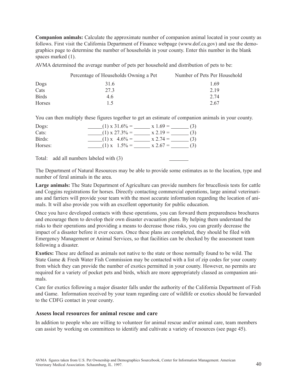**Companion animals:** Calculate the approximate number of companion animal located in your county as follows. First visit the California Department of Finance webpage (www.dof.ca.gov) and use the demographics page to determine the number of households in your county. Enter this number in the blank spaces marked  $(1)$ .

AVMA determined the average number of pets per household and distribution of pets to be:

| Percentage of Households Owning a Pet | Number of Pets Per Household |
|---------------------------------------|------------------------------|
| 316                                   | 1 69                         |
| 273                                   | 2.19                         |
| 4.6                                   | 2.74                         |
| 15                                    | 2.67                         |
|                                       |                              |

You can then multiply these figures together to get an estimate of companion animals in your county.

| Dogs:   | $(1) \times 31.6\% =$ | $x 1.69 =$<br>(3)              |
|---------|-----------------------|--------------------------------|
| Cats:   | $(1) \times 27.3\% =$ | $x 2.19 =$<br>(3)              |
| Birds:  | $(1)$ x 4.6% =        | $x 2.74 =$<br>(3)              |
| Horses: | $(1)$ x $1.5\% =$     | $x 2.67 =$<br>$\left(3\right)$ |

Total: add all numbers labeled with (3)

The Department of Natural Resources may be able to provide some estimates as to the location, type and number of feral animals in the area.

**Large animals:** The State Department of Agriculture can provide numbers for brucellosis tests for cattle and Coggins registrations for horses. Directly contacting commercial operations, large animal veterinarians and farriers will provide your team with the most accurate information regarding the location of animals. It will also provide you with an excellent opportunity for public education.

Once you have developed contacts with these operations, you can forward them preparedness brochures and encourage them to develop their own disaster evacuation plans. By helping them understand the risks to their operations and providing a means to decrease those risks, you can greatly decrease the impact of a disaster before it ever occurs. Once these plans are completed, they should be filed with Emergency Management or Animal Services, so that facilities can be checked by the assessment team following a disaster.

**Exotics:** These are defined as animals not native to the state or those normally found to be wild. The State Game & Fresh Water Fish Commission may be contacted with a list of zip codes for your county from which they can provide the number of exotics permitted in your county. However, no permits are required for a variety of pocket pets and birds, which are more appropriately classed as companion animals.

Care for exotics following a major disaster falls under the authority of the California Department of Fish and Game. Information received by your team regarding care of wildlife or exotics should be forwarded to the CDFG contact in your county.

#### **Assess local resources for animal rescue and care**

In addition to people who are willing to volunteer for animal rescue and/or animal care, team members can assist by working on committees to identify and cultivate a variety of resources (see page 45).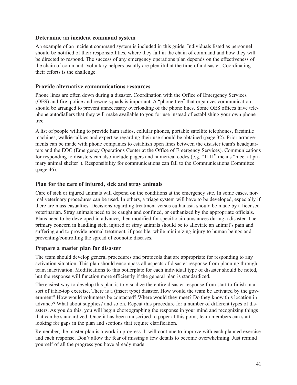#### **Determine an incident command system**

An example of an incident command system is included in this guide. Individuals listed as personnel should be notified of their responsibilities, where they fall in the chain of command and how they will be directed to respond. The success of any emergency operations plan depends on the effectiveness of the chain of command. Voluntary helpers usually are plentiful at the time of a disaster. Coordinating their efforts is the challenge.

#### **Provide alternative communications resources**

Phone lines are often down during a disaster. Coordination with the Office of Emergency Services (OES) and fire, police and rescue squads is important. A "phone tree" that organizes communication should be arranged to prevent unnecessary overloading of the phone lines. Some OES offices have telephone autodiallers that they will make available to you for use instead of establishing your own phone tree.

A list of people willing to provide ham radios, cellular phones, portable satellite telephones, facsimile machines, walkie-talkies and expertise regarding their use should be obtained (page 32). Prior arrangements can be made with phone companies to establish open lines between the disaster team's headquarters and the EOC (Emergency Operations Center at the Office of Emergency Services). Communications for responding to disasters can also include pagers and numerical codes (e.g. "1111" means "meet at primary animal shelter"). Responsibility for communications can fall to the Communications Committee (page 46).

#### **Plan for the care of injured, sick and stray animals**

Care of sick or injured animals will depend on the conditions at the emergency site. In some cases, normal veterinary procedures can be used. In others, a triage system will have to be developed, especially if there are mass casualties. Decisions regarding treatment versus euthanasia should be made by a licensed veterinarian. Stray animals need to be caught and confined, or euthanized by the appropriate officials. Plans need to be developed in advance, then modified for specific circumstances during a disaster. The primary concern in handling sick, injured or stray animals should be to alleviate an animal's pain and suffering and to provide normal treatment, if possible, while minimizing injury to human beings and preventing/controlling the spread of zoonotic diseases.

#### **Prepare a master plan for disaster**

The team should develop general procedures and protocols that are appropriate for responding to any activation situation. This plan should encompass all aspects of disaster response from planning through team inactivation. Modifications to this boilerplate for each individual type of disaster should be noted, but the response will function more efficiently if the general plan is standardized.

The easiest way to develop this plan is to visualize the entire disaster response from start to finish in a sort of table-top exercise. There is a (insert type) disaster. How would the team be activated by the government? How would volunteers be contacted? Where would they meet? Do they know this location in advance? What about supplies? and so on. Repeat this procedure for a number of different types of disasters. As you do this, you will begin choreographing the response in your mind and recognizing things that can be standardized. Once it has been transcribed to paper at this point, team members can start looking for gaps in the plan and sections that require clarification.

Remember, the master plan is a work in progress. It will continue to improve with each planned exercise and each response. Don't allow the fear of missing a few details to become overwhelming. Just remind yourself of all the progress you have already made.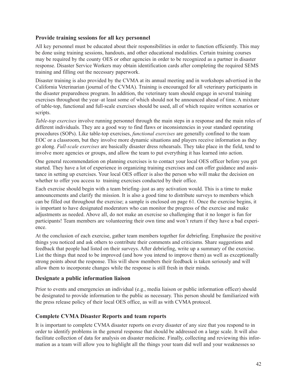#### **Provide training sessions for all key personnel**

All key personnel must be educated about their responsibilities in order to function efficiently. This may be done using training sessions, handouts, and other educational modalities. Certain training courses may be required by the county OES or other agencies in order to be recognized as a partner in disaster response. Disaster Service Workers may obtain identification cards after completing the required SEMS training and filling out the necessary paperwork.

Disaster training is also provided by the CVMA at its annual meeting and in workshops advertised in the California Veterinarian (journal of the CVMA). Training is encouraged for all veterinary participants in the disaster preparedness program. In addition, the veterinary team should engage in several training exercises throughout the year–at least some of which should not be announced ahead of time. A mixture of table-top, functional and full-scale exercises should be used, all of which require written scenarios or scripts.

*Table-top exercises* involve running personnel through the main steps in a response and the main roles of different individuals. They are a good way to find flaws or inconsistencies in your standard operating procedures (SOPs). Like table-top exercises, *functional exercises* are generally confined to the team EOC or a classroom, but they involve more dynamic situations and players receive information as they go along. *Full-scale exercises* are basically disaster dress rehearsals. They take place in the field, tend to involve more agencies or groups, and allow the team to put everything it has learned into action.

One general recommendation on planning exercises is to contact your local OES officer before you get started. They have a lot of experience in organizing training exercises and can offer guidance and assistance in setting up exercises. Your local OES officer is also the person who will make the decision on whether to offer you access to training exercises conducted by their office.

Each exercise should begin with a team briefing–just as any activation would. This is a time to make announcements and clarify the mission. It is also a good time to distribute surveys to members which can be filled out throughout the exercise; a sample is enclosed on page 61. Once the exercise begins, it is important to have designated moderators who can monitor the progress of the exercise and make adjustments as needed. Above all, do not make an exercise so challenging that it no longer is fun for participants! Team members are volunteering their own time and won't return if they have a bad experience.

At the conclusion of each exercise, gather team members together for debriefing. Emphasize the positive things you noticed and ask others to contribute their comments and criticisms. Share suggestions and feedback that people had listed on their surveys. After debriefing, write up a summary of the exercise. List the things that need to be improved (and how you intend to improve them) as well as exceptionally strong points about the response. This will show members their feedback is taken seriously and will allow them to incorporate changes while the response is still fresh in their minds.

#### **Designate a public information liaison**

Prior to events and emergencies an individual (e.g., media liaison or public information officer) should be designated to provide information to the public as necessary. This person should be familiarized with the press release policy of their local OES office, as will as with CVMA protocol.

#### **Complete CVMA Disaster Reports and team reports**

It is important to complete CVMA disaster reports on every disaster of any size that you respond to in order to identify problems in the general response that should be addressed on a large scale. It will also facilitate collection of data for analysis on disaster medicine. Finally, collecting and reviewing this information as a team will allow you to highlight all the things your team did well and your weaknesses so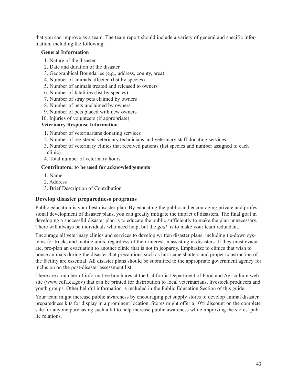that you can improve as a team. The team report should include a variety of general and specific information, including the following:

#### **General Information**

- 1. Nature of the disaster
- 2. Date and duration of the disaster
- 3. Geographical Boundaries (e.g., address, county, area)
- 4. Number of animals affected (list by species)
- 5. Number of animals treated and released to owners
- 6. Number of fatalities (list by species)
- 7. Number of stray pets claimed by owners
- 8. Number of pets unclaimed by owners
- 9. Number of pets placed with new owners
- 10. Injuries of volunteers (if appropriate)

#### **Veterinary Response Information**

- 1. Number of veterinarians donating services
- 2. Number of registered veterinary technicians and veterinary staff donating services
- 3. Number of veterinary clinics that received patients (list species and number assigned to each clinic)
- 4. Total number of veterinary hours

#### **Contributors: to be used for acknowledgements**

- 1. Name
- 2. Address
- 3. Brief Description of Contribution

#### **Develop disaster preparedness programs**

Public education is your best disaster plan. By educating the public and encouraging private and professional development of disaster plans, you can greatly mitigate the impact of disasters. The final goal in developing a successful disaster plan is to educate the public sufficiently to make the plan unnecessary. There will always be individuals who need help, but the *goal* is to make your team redundant.

Encourage all veterinary clinics and services to develop written disaster plans, including tie-down systems for trucks and mobile units, regardless of their interest in assisting in disasters. If they must evacuate, pre-plan an evacuation to another clinic that is not in jeopardy. Emphasize to clinics that wish to house animals during the disaster that precautions such as hurricane shutters and proper construction of the facility are essential. All disaster plans should be submitted to the appropriate government agency for inclusion on the post-disaster assessment list.

There are a number of informative brochures at the California Department of Food and Agriculture website (www.cdfa.ca.gov) that can be printed for distribution to local veterinarians, livestock producers and youth groups. Other helpful information is included in the Public Education Section of this guide.

Your team might increase public awareness by encouraging pet supply stores to develop animal disaster preparedness kits for display in a prominent location. Stores might offer a 10% discount on the complete sale for anyone purchasing such a kit to help increase public awareness while improving the stores' public relations.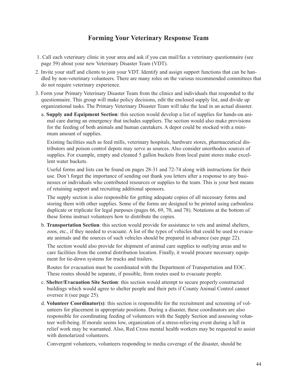# **Forming Your Veterinary Response Team**

- 1. Call each veterinary clinic in your area and ask if you can mail/fax a veterinary questionnaire (see page 59) about your new Veterinary Disaster Team (VDT).
- 2. Invite your staff and clients to join your VDT. Identify and assign support functions that can be handled by non-veterinary volunteers. There are many roles on the various recommended committees that do not require veterinary experience.
- 3. Form your Primary Veterinary Disaster Team from the clinics and individuals that responded to the questionnaire. This group will make policy decisions, edit the enclosed supply list, and divide up organizational tasks. The Primary Veterinary Disaster Team will take the lead in an actual disaster.
	- a. **Supply and Equipment Section**: this section would develop a list of supplies for hands-on animal care during an emergency that includes suppliers. The section would also make provisions for the feeding of both animals and human caretakers. A depot could be stocked with a minimum amount of supplies.

Existing facilities such as feed mills, veterinary hospitals, hardware stores, pharmaceutical distributors and poison control depots may serve as sources. Also consider unorthodox sources of supplies. For example, empty and cleaned 5 gallon buckets from local paint stores make excellent water buckets.

Useful forms and lists can be found on pages 28-31 and 72-74 along with instructions for their use. Don't forget the importance of sending out thank you letters after a response to any businesses or individuals who contributed resources or supplies to the team. This is your best means of retaining support and recruiting additional sponsors.

The supply section is also responsible for getting adequate copies of all necessary forms and storing them with other supplies. Some of the forms are designed to be printed using carbonless duplicate or triplicate for legal purposes (pages 66, 69, 70, and 78). Notations at the bottom of these forms instruct volunteers how to distribute the copies.

b. **Transportation Section**: this section would provide for assistance to vets and animal shelters, zoos, etc., if they needed to evacuate. A list of the types of vehicles that could be used to evacuate animals and the sources of such vehicles should be prepared in advance (see page 22).

The section would also provide for shipment of animal care supplies to outlying areas and to care facilities from the central distribution location. Finally, it would procure necessary equipment for tie-down systems for trucks and trailers.

Routes for evacuation must be coordinated with the Department of Transportation and EOC. These routes should be separate, if possible, from routes used to evacuate people.

- c. **Shelter/Evacuation Site Section**: this section would attempt to secure properly constructed buildings which would agree to shelter people and their pets if County Animal Control cannot oversee it (see page 25).
- d. **Volunteer Coordinator(s)**: this section is responsible for the recruitment and screening of volunteers for placement in appropriate positions. During a disaster, these coordinators are also responsible for coordinating feeding of volunteers with the Supply Section and assessing volunteer well-being. If morale seems low, organization of a stress-relieving event during a lull in relief work may be warranted. Also, Red Cross mental health workers may be requested to assist with demolarized volunteers.

Convergent volunteers, volunteers responding to media coverage of the disaster, should be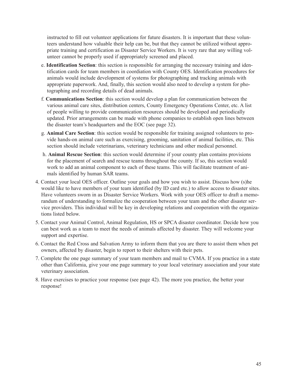instructed to fill out volunteer applications for future disasters. It is important that these volunteers understand how valuable their help can be, but that they cannot be utilized without appropriate training and certification as Disaster Service Workers. It is very rare that any willing volunteer cannot be properly used if appropriately screened and placed.

- e. **Identification Section**: this section is responsible for arranging the necessary training and identification cards for team members in coordiation with County OES. Identification procedures for animals would include development of systems for photographing and tracking animals with appropriate paperwork. And, finally, this section would also need to develop a system for photographing and recording details of dead animals.
- f. **Communications Section**: this section would develop a plan for communication between the various animal care sites, distribution centers, County Emergency Operations Center, etc. A list of people willing to provide communication resources should be developed and periodically updated. Prior arrangements can be made with phone companies to establish open lines between the disaster team's headquarters and the EOC (see page 32).
- g. **Animal Care Section**: this section would be responsible for training assigned volunteers to provide hands-on animal care such as exercising, grooming, sanitation of animal facilities, etc. This section should include veterinarians, veterinary technicians and other medical personnel.
- h. **Animal Rescue Section**: this section would determine if your county plan contains provisions for the placement of search and rescue teams throughout the county. If so, this section would work to add an animal component to each of these teams. This will facilitate treatment of animals identified by human SAR teams.
- 4. Contact your local OES officer. Outline your goals and how you wish to assist. Discuss how (s)he would like to have members of your team identified (by ID card etc.) to allow access to disaster sites. Have volunteers sworn in as Disaster Service Workers. Work with your OES officer to draft a memorandum of understanding to formalize the cooperation between your team and the other disaster service providers. This individual will be key in developing relations and cooperation with the organizations listed below.
- 5. Contact your Animal Control, Animal Regulation, HS or SPCA disaster coordinator. Decide how you can best work as a team to meet the needs of animals affected by disaster. They will welcome your support and expertise.
- 6. Contact the Red Cross and Salvation Army to inform them that you are there to assist them when pet owners, affected by disaster, begin to report to their shelters with their pets.
- 7. Complete the one page summary of your team members and mail to CVMA. If you practice in a state other than California, give your one page summary to your local veterinary association and your state veterinary association.
- 8. Have exercises to practice your response (see page 42). The more you practice, the better your response!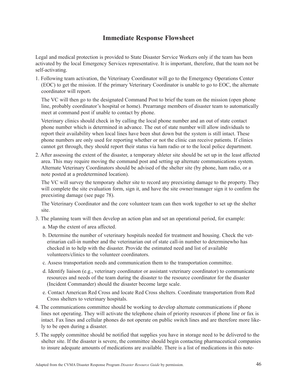# **Immediate Response Flowsheet**

Legal and medical protection is provided to State Disaster Service Workers only if the team has been activated by the local Emergency Services representative. It is important, therefore, that the team not be self-activating.

1. Following team activation, the Veterinary Coordinator will go to the Emergency Operations Center (EOC) to get the mission. If the primary Veterinary Coordinator is unable to go to EOC, the alternate coordinator will report.

The VC will then go to the designated Command Post to brief the team on the mission (open phone line, probably coordinator's hospital or home). Prearrange members of disaster team to automatically meet at command post if unable to contact by phone.

Veterinary clinics should check in by calling the local phone number and an out of state contact phone number which is determined in advance. The out of state number will allow individuals to report their availability when local lines have been shut down but the system is still intact. These phone numbers are only used for reporting whether or not the clinic can receive patients. If clinics cannot get through, they should report their status via ham radio or to the local police department.

2. After assessing the extent of the disaster, a temporary shleter site should be set up in the least affected area. This may require moving the command post and setting up alternate communications system. Alternate Veterinary Coordinators should be advised of the shelter site (by phone, ham radio, or a note posted at a predetermined location).

The VC will survey the temporary shelter site to record any preexisting damage to the property. They will complete the site evaluation form, sign it, and have the site owner/manager sign it to confirm the preexisting damage (see page 78).

The Veterinary Coordinator and the core volunteer team can then work together to set up the shelter site.

- 3. The planning team will then develop an action plan and set an operational period, for example:
	- a. Map the extent of area affected.
	- b. Determine the number of veterinary hospitals needed for treatment and housing. Check the veterinarian call-in number and the veterinarian out of state call-in number to determinewho has checked in to help with the disaster. Provide the estimated need and list of available volunteers/clinics to the volunteer coordinators.
	- c. Assess transportation needs and communication them to the transportation committee.
	- d. Identify liaison (e.g., veterinary coordinator or assistant veterinary coordinator) to communicate resources and needs of the team during the disaster to the resource coordinator for the disaster (Incident Commander) should the disaster become large scale.
	- e. Contact American Red Cross and locate Red Cross shelters. Coordinate transportation from Red Cross shelters to veterinary hospitals.
- 4. The communications committee should be working to develop alternate communications if phone lines not operating. They will activate the telephone chain of priority resources if phone line or fax is intact. Fax lines and cellular phones do not operate on public switch lines and are therefore more likely to be open during a disaster.
- 5. The supply committee should be notified that supplies you have in storage need to be delivered to the shelter site. If the disaster is severe, the committee should begin contacting pharmaceutical companies to insure adequate amounts of medications are available. There is a list of medications in this note-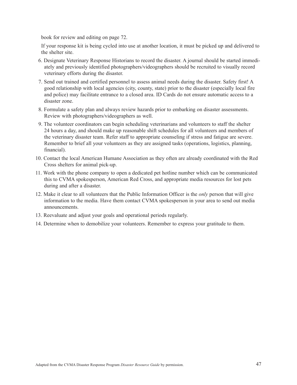book for review and editing on page 72.

If your response kit is being cycled into use at another location, it must be picked up and delivered to the shelter site.

- 6. Designate Veterinary Response Historians to record the disaster. A journal should be started immediately and previously identified photographers/videographers should be recruited to visually record veterinary efforts during the disaster.
- 7. Send out trained and certified personnel to assess animal needs during the disaster. Safety first! A good relationship with local agencies (city, county, state) prior to the disaster (especially local fire and police) may facilitate entrance to a closed area. ID Cards do not ensure automatic access to a disaster zone.
- 8. Formulate a safety plan and always review hazards prior to embarking on disaster assessments. Review with photographers/videographers as well.
- 9. The volunteer coordinators can begin scheduling veterinarians and volunteers to staff the shelter 24 hours a day, and should make up reasonable shift schedules for all volunteers and members of the veterinary disaster team. Refer staff to appropriate counseling if stress and fatigue are severe. Remember to brief all your volunteers as they are assigned tasks (operations, logistics, planning, financial).
- 10. Contact the local American Humane Association as they often are already coordinated with the Red Cross shelters for animal pick-up.
- 11. Work with the phone company to open a dedicated pet hotline number which can be communicated this to CVMA spokesperson, American Red Cross, and appropriate media resources for lost pets during and after a disaster.
- 12. Make it clear to all volunteers that the Public Information Officer is the *only* person that will give information to the media. Have them contact CVMA spokesperson in your area to send out media announcements.
- 13. Reevaluate and adjust your goals and operational periods regularly.
- 14. Determine when to demobilize your volunteers. Remember to express your gratitude to them.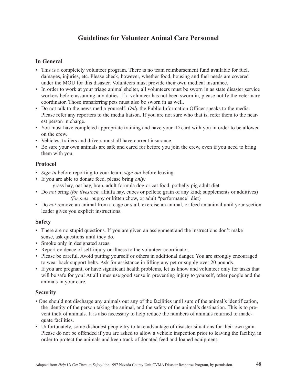# **Guidelines for Volunteer Animal Care Personnel**

#### **In General**

- This is a completely volunteer program. There is no team reimbursement fund available for fuel, damages, injuries, etc. Please check, however, whether food, housing and fuel needs are covered under the MOU for this disaster. Volunteers must provide their own medical insurance.
- In order to work at your triage animal shelter, all volunteers must be sworn in as state disaster service workers before assuming any duties. If a volunteer has not been sworn in, please notify the veterinary coordinator. Those transferring pets must also be sworn in as well.
- Do not talk to the news media yourself. *Only* the Public Information Officer speaks to the media. Please refer any reporters to the media liaison. If you are not sure who that is, refer them to the nearest person in charge.
- You must have completed appropriate training and have your ID card with you in order to be allowed on the crew.
- Vehicles, trailers and drivers must all have current insurance.
- Be sure your own animals are safe and cared for before you join the crew, even if you need to bring them with you.

#### **Protocol**

- *Sign in* before reporting to your team; *sign out* before leaving.
- If you are able to donate feed, please bring *only:*
	- grass hay, oat hay, bran, adult formula dog or cat food, potbelly pig adult diet
- Do *not* bring *(for livestock*: alfalfa hay, cubes or pellets; grain of any kind; supplements or additives) *(for pets*: puppy or kitten chow, or adult "performance" diet)
- Do *not* remove an animal from a cage or stall, exercise an animal, or feed an animal until your section leader gives you explicit instructions.

#### **Safety**

- There are no stupid questions. If you are given an assignment and the instructions don't make sense, ask questions until they do.
- Smoke only in designated areas.
- Report evidence of self-injury or illness to the volunteer coordinator.
- Please be careful. Avoid putting yourself or others in additional danger. You are strongly encouraged to wear back support belts. Ask for assistance in lifting any pet or supply over 20 pounds.
- If you are pregnant, or have significant health problems, let us know and volunteer only for tasks that will be safe for you! At all times use good sense in preventing injury to yourself, other people and the animals in your care.

#### **Security**

- One should not discharge any animals out any of the facilities until sure of the animal's identification, the identity of the person taking the animal, and the safety of the animal's destination. This is to prevent theft of animals. It is also necessary to help reduce the numbers of animals returned to inadequate facilities.
- Unfortunately, some dishonest people try to take advantage of disaster situations for their own gain. Please do not be offended if you are asked to allow a vehicle inspection prior to leaving the facility, in order to protect the animals and keep track of donated feed and loaned equipment.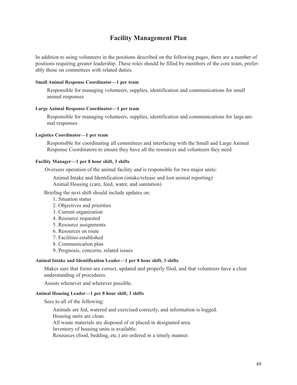# **Facility Management Plan**

In addition to using volunteers in the positions described on the following pages, there are a number of positions requiring greater leadership. These roles should be filled by members of the core team, preferably those on committees with related duties.

#### **Small Animal Response Coordinator—1 per team**

Responsible for managing volunteers, supplies, identification and communications for small animal responses

#### **Large Animal Response Coordinator—1 per team**

Responsible for managing volunteers, supplies, identification and communications for large animal responses

#### **Logistics Coordinator—1 per team**

Responsible for coordinating all committees and interfacing with the Small and Large Animal Response Coordinators to ensure they have all the resources and volunteers they need

#### **Facility Manager—1 per 8 hour shift, 3 shifts**

Oversees operation of the animal facility and is responsible for two major units:

Animal Intake and Identification (intake/release and lost animal reporting) Animal Housing (care, feed, water, and sanitation)

Briefing the next shift should include updates on:

- 1. Situation status
- 2. Objectives and priorities
- 3. Current organization
- 4. Resource requested
- 5. Resource assignments
- 6. Resources en route
- 7. Facilities established
- 8. Communication plan
- 9. Prognosis, concerns, related issues

#### **Animal Intake and Identification Leader—1 per 8 hour shift, 3 shifts**

Makes sure that forms are correct, updated and properly filed, and that volunteers have a clear understanding of procedures.

Assists whenever and wherever possible.

#### **Animal Housing Leader—1 per 8 hour shift, 3 shifts**

Sees to all of the following:

Animals are fed, watered and exercised correctly, and information is logged. Housing units are clean. All waste materials are disposed of or placed in designated area. Inventory of housing units is available. Resources (food, bedding, etc.) are ordered in a timely manner.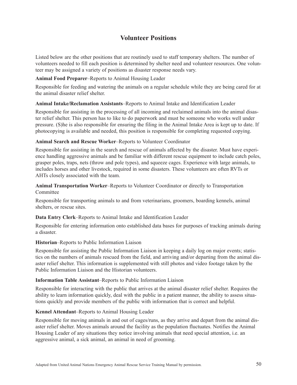# **Volunteer Positions**

Listed below are the other positions that are routinely used to staff temporary shelters. The number of volunteers needed to fill each position is determined by shelter need and volunteer resources. One volunteer may be assigned a variety of positions as disaster response needs vary.

#### **Animal Food Preparer**–Reports to Animal Housing Leader

Responsible for feeding and watering the animals on a regular schedule while they are being cared for at the animal disaster relief shelter.

#### **Animal Intake/Reclamation Assistants**–Reports to Animal Intake and Identification Leader

Responsible for assisting in the processing of all incoming and reclaimed animals into the animal disaster relief shelter. This person has to like to do paperwork and must be someone who works well under pressure. (S)he is also responsible for ensuring the filing in the Animal Intake Area is kept up to date. If photocopying is available and needed, this position is responsible for completing requested copying.

#### **Animal Search and Rescue Worker**–Reports to Volunteer Coordinator

Responsible for assisting in the search and rescue of animals affected by the disaster. Must have experience handling aggressive animals and be familiar with different rescue equipment to include catch poles, grasper poles, traps, nets (throw and pole types), and squeeze cages. Experience with large animals, to includes horses and other livestock, required in some disasters. These volunteers are often RVTs or AHTs closely associated with the team.

#### **Animal Transportation Worker**–Reports to Volunteer Coordinator or directly to Transportation Committee

Responsible for transporting animals to and from veterinarians, groomers, boarding kennels, animal shelters, or rescue sites.

#### **Data Entry Clerk**–Reports to Animal Intake and Identification Leader

Responsible for entering information onto established data bases for purposes of tracking animals during a disaster.

#### **Historian**–Reports to Public Information Liaison

Responsible for assisting the Public Information Liaison in keeping a daily log on major events; statistics on the numbers of animals rescued from the field, and arriving and/or departing from the animal disaster relief shelter. This information is supplemented with still photos and video footage taken by the Public Information Liaison and the Historian volunteers.

#### **Information Table Assistant**–Reports to Public Information Liaison

Responsible for interacting with the public that arrives at the animal disaster relief shelter. Requires the ability to learn information quickly, deal with the public in a patient manner, the ability to assess situations quickly and provide members of the public with information that is correct and helpful.

#### **Kennel Attendant**–Reports to Animal Housing Leader

Responsible for moving animals in and out of cages/runs, as they arrive and depart from the animal disaster relief shelter. Moves animals around the facility as the population fluctuates. Notifies the Animal Housing Leader of any situations they notice involving animals that need special attention, i.e. an aggressive animal, a sick animal, an animal in need of grooming.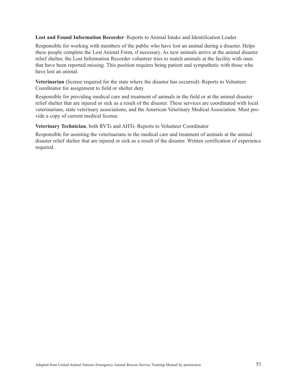**Lost and Found Information Recorder**–Reports to Animal Intake and Identification Leader

Responsible for working with members of the public who have lost an animal during a disaster. Helps these people complete the Lost Animal Form, if necessary. As new animals arrive at the animal disaster relief shelter, the Lost Information Recorder volunteer tries to match animals at the facility with ones that have been reported missing. This position requires being patient and sympathetic with those who have lost an animal.

**Veterinarian** (license required for the state where the disaster has occurred)–Reports to Volunteer Coordinator for assignment to field or shelter duty

Responsible for providing medical care and treatment of animals in the field or at the animal disaster relief shelter that are injured or sick as a result of the disaster. These services are coordinated with local veterinarians, state veterinary associations, and the American Veterinary Medical Association. Must provide a copy of current medical license.

#### **Veterinary Technician**, both RVTs and AHTs–Reports to Volunteer Coordinator

Responsible for assisting the veterinarians in the medical care and treatment of animals at the animal disaster relief shelter that are injured or sick as a result of the disaster. Written certification of experience required.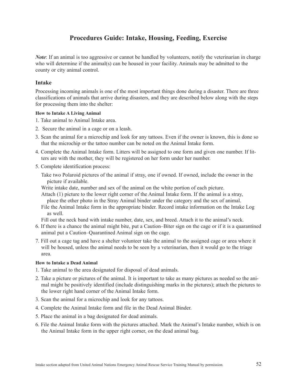# **Procedures Guide: Intake, Housing, Feeding, Exercise**

*Note*: If an animal is too aggressive or cannot be handled by volunteers, notify the veterinarian in charge who will determine if the animal(s) can be housed in your facility. Animals may be admitted to the county or city animal control.

#### **Intake**

Processing incoming animals is one of the most important things done during a disaster. There are three classifications of animals that arrive during disasters, and they are described below along with the steps for processing them into the shelter:

#### **How to Intake A Living Animal**

- 1. Take animal to Animal Intake area.
- 2. Secure the animal in a cage or on a leash.
- 3. Scan the animal for a microchip and look for any tattoos. Even if the owner is known, this is done so that the microchip or the tattoo number can be noted on the Animal Intake form.
- 4. Complete the Animal Intake form. Litters will be assigned to one form and given one number. If litters are with the mother, they will be registered on her form under her number.
- 5. Complete identification process:
	- Take two Polaroid pictures of the animal if stray, one if owned. If owned, include the owner in the picture if available.
	- Write intake date, number and sex of the animal on the white portion of each picture.
	- Attach (1) picture to the lower right corner of the Animal Intake form. If the animal is a stray, place the other photo in the Stray Animal binder under the category and the sex of animal.
	- File the Animal Intake form in the appropriate binder. Record intake information on the Intake Log as well.

Fill out the neck band with intake number, date, sex, and breed. Attach it to the animal's neck.

- 6. If there is a chance the animal might bite, put a Caution–Biter sign on the cage or if it is a quarantined animal put a Caution–Quarantined Animal sign on the cage.
- 7. Fill out a cage tag and have a shelter volunteer take the animal to the assigned cage or area where it will be housed, unless the animal needs to be seen by a veterinarian, then it would go to the triage area.

#### **How to Intake a Dead Animal**

- 1. Take animal to the area designated for disposal of dead animals.
- 2. Take a picture or pictures of the animal. It is important to take as many pictures as needed so the animal might be positively identified (include distinguishing marks in the pictures); attach the pictures to the lower right hand corner of the Animal Intake form.
- 3. Scan the animal for a microchip and look for any tattoos.
- 4. Complete the Animal Intake form and file in the Dead Animal Binder.
- 5. Place the animal in a bag designated for dead animals.
- 6. File the Animal Intake form with the pictures attached. Mark the Animal's Intake number, which is on the Animal Intake form in the upper right corner, on the dead animal bag.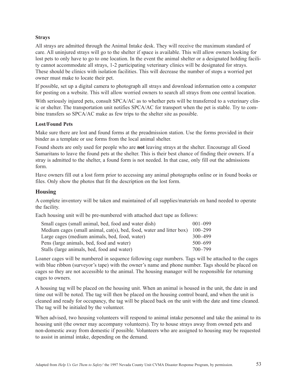#### **Strays**

All strays are admitted through the Animal Intake desk. They will receive the maximum standard of care. All uninjured strays will go to the shelter if space is available. This will allow owners looking for lost pets to only have to go to one location. In the event the animal shelter or a designated holding facility cannot accommodate all strays, 1-2 participating veterinary clinics will be designated for strays. These should be clinics with isolation facilities. This will decrease the number of stops a worried pet owner must make to locate their pet.

If possible, set up a digital camera to photograph all strays and download information onto a computer for posting on a website. This will allow worried owners to search all strays from one central location.

With seriously injured pets, consult SPCA/AC as to whether pets will be transferred to a veterinary clinic or shelter. The transportation unit notifies SPCA/AC for transport when the pet is stable. Try to combine transfers so SPCA/AC make as few trips to the shelter site as possible.

#### **Lost/Found Pets**

Make sure there are lost and found forms at the preadmission station. Use the forms provided in their binder as a template or use forms from the local animal shelter.

Found sheets are only used for people who are **not** leaving strays at the shelter. Encourage all Good Samaritans to leave the found pets at the shelter. This is their best chance of finding their owners. If a stray is admitted to the shelter, a found form is not needed. In that case, only fill out the admissions form.

Have owners fill out a lost form prior to accessing any animal photographs online or in found books or files. Only show the photos that fit the description on the lost form.

#### **Housing**

A complete inventory will be taken and maintained of all supplies/materials on hand needed to operate the facility.

Each housing unit will be pre-numbered with attached duct tape as follows:

| Small cages (small animal, bed, food and water dish)                 | $001 - 099$ |
|----------------------------------------------------------------------|-------------|
| Medium cages (small animal, cat(s), bed, food, water and litter box) | $100 - 299$ |
| Large cages (medium animals, bed, food, water)                       | $300 - 499$ |
| Pens (large animals, bed, food and water)                            | $500 - 699$ |
| Stalls (large animals, bed, food and water)                          | 700–799     |

Loaner cages will be numbered in sequence following cage numbers. Tags will be attached to the cages with blue ribbon (surveyor's tape) with the owner's name and phone number. Tags should be placed on cages so they are not accessible to the animal. The housing manager will be responsible for returning cages to owners.

A housing tag will be placed on the housing unit. When an animal is housed in the unit, the date in and time out will be noted. The tag will then be placed on the housing control board, and when the unit is cleaned and ready for occupancy, the tag will be placed back on the unit with the date and time cleaned. The tag will be initialed by the volunteer.

When advised, two housing volunteers will respond to animal intake personnel and take the animal to its housing unit (the owner may accompany volunteers). Try to house strays away from owned pets and non-domestic away from domestic if possible. Volunteers who are assigned to housing may be requested to assist in animal intake, depending on the demand.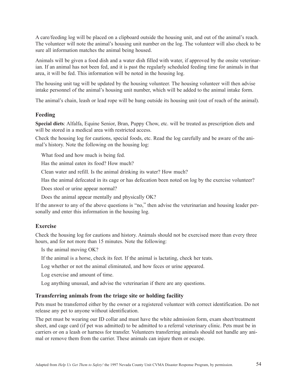A care/feeding log will be placed on a clipboard outside the housing unit, and out of the animal's reach. The volunteer will note the animal's housing unit number on the log. The volunteer will also check to be sure all information matches the animal being housed.

Animals will be given a food dish and a water dish filled with water, if approved by the onsite veterinarian. If an animal has not been fed, and it is past the regularly scheduled feeding time for animals in that area, it will be fed. This information will be noted in the housing log.

The housing unit tag will be updated by the housing volunteer. The housing volunteer will then advise intake personnel of the animal's housing unit number, which will be added to the animal intake form.

The animal's chain, leash or lead rope will be hung outside its housing unit (out of reach of the animal).

#### **Feeding**

**Special diets**: Alfalfa, Equine Senior, Bran, Puppy Chow, etc. will be treated as prescription diets and will be stored in a medical area with restricted access.

Check the housing log for cautions, special foods, etc. Read the log carefully and be aware of the animal's history. Note the following on the housing log:

What food and how much is being fed.

Has the animal eaten its food? How much?

Clean water and refill. Is the animal drinking its water? How much?

Has the animal defecated in its cage or has defecation been noted on log by the exercise volunteer?

Does stool or urine appear normal?

Does the animal appear mentally and physically OK?

If the answer to any of the above questions is "no," then advise the veterinarian and housing leader personally and enter this information in the housing log.

#### **Exercise**

Check the housing log for cautions and history. Animals should not be exercised more than every three hours, and for not more than 15 minutes. Note the following:

Is the animal moving OK?

If the animal is a horse, check its feet. If the animal is lactating, check her teats.

Log whether or not the animal eliminated, and how feces or urine appeared.

Log exercise and amount of time.

Log anything unusual, and advise the veterinarian if there are any questions.

#### **Transferring animals from the triage site or holding facility**

Pets must be transferred either by the owner or a registered volunteer with correct identification. Do not release any pet to anyone without identification.

The pet must be wearing our ID collar and must have the white admission form, exam sheet/treatment sheet, and cage card (if pet was admitted) to be admitted to a referral veterinary clinic. Pets must be in carriers or on a leash or harness for transfer. Volunteers transferring animals should not handle any animal or remove them from the carrier. These animals can injure them or escape.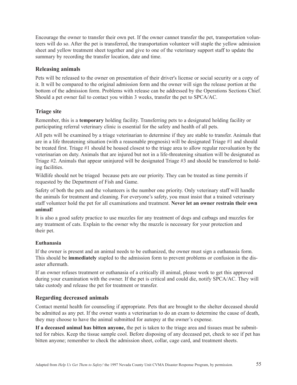Encourage the owner to transfer their own pet. If the owner cannot transfer the pet, transportation volunteers will do so. After the pet is transferred, the transportation volunteer will staple the yellow admission sheet and yellow treatment sheet together and give to one of the veterinary support staff to update the summary by recording the transfer location, date and time.

#### **Releasing animals**

Pets will be released to the owner on presentation of their driver's license or social security or a copy of it. It will be compared to the original admission form and the owner will sign the release portion at the bottom of the admission form. Problems with release can be addressed by the Operations Sections Chief. Should a pet owner fail to contact you within 3 weeks, transfer the pet to SPCA/AC.

#### **Triage site**

Remember, this is a **temporary** holding facility. Transferring pets to a designated holding facility or participating referral veterinary clinic is essential for the safety and health of all pets.

All pets will be examined by a triage veterinarian to determine if they are stable to transfer. Animals that are in a life threatening situation (with a reasonable prognosis) will be designated Triage #1 and should be treated first. Triage #1 should be housed closest to the triage area to allow regular reevaluation by the veterinarian on duty. Animals that are injured but not in a life-threatening situation will be designated as Triage #2. Animals that appear uninjured will be designated Triage #3 and should be transferred to holding facilities.

Wildlife should not be triaged because pets are our priority. They can be treated as time permits if requested by the Department of Fish and Game.

Safety of both the pets and the volunteers is the number one priority. Only veterinary staff will handle the animals for treatment and cleaning. For everyone's safety, you must insist that a trained veterinary staff volunteer hold the pet for all examinations and treatment. **Never let an owner restrain their own animal!**

It is also a good safety practice to use muzzles for any treatment of dogs and catbags and muzzles for any treatment of cats. Explain to the owner why the muzzle is necessary for your protection and their pet.

#### **Euthanasia**

If the owner is present and an animal needs to be euthanized, the owner must sign a euthanasia form. This should be **immediately** stapled to the admission form to prevent problems or confusion in the disaster aftermath.

If an owner refuses treatment or euthanasia of a critically ill animal, please work to get this approved during your examination with the owner. If the pet is critical and could die, notify SPCA/AC. They will take custody and release the pet for treatment or transfer.

#### **Regarding decreased animals**

Contact mental health for counseling if appropriate. Pets that are brought to the shelter deceased should be admitted as any pet. If the owner wants a veterinarian to do an exam to determine the cause of death, they may choose to have the animal submitted for autopsy at the owner's expense.

**If a deceased animal has bitten anyone,** the pet is taken to the triage area and tissues must be submitted for rabies. Keep the tissue sample cool. Before disposing of any deceased pet, check to see if pet has bitten anyone; remember to check the admission sheet, collar, cage card, and treatment sheets.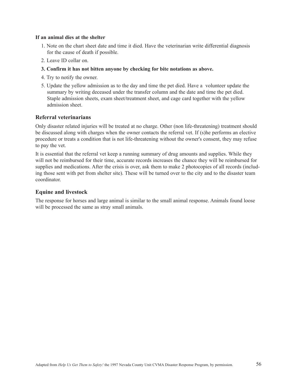#### **If an animal dies at the shelter**

- 1. Note on the chart sheet date and time it died. Have the veterinarian write differential diagnosis for the cause of death if possible.
- 2. Leave ID collar on.
- **3. Confirm it has not bitten anyone by checking for bite notations as above.**
- 4. Try to notify the owner.
- 5. Update the yellow admission as to the day and time the pet died. Have a volunteer update the summary by writing deceased under the transfer column and the date and time the pet died. Staple admission sheets, exam sheet/treatment sheet, and cage card together with the yellow admission sheet.

#### **Referral veterinarians**

Only disaster related injuries will be treated at no charge. Other (non life-threatening) treatment should be discussed along with charges when the owner contacts the referral vet. If (s)he performs an elective procedure or treats a condition that is not life-threatening without the owner's consent, they may refuse to pay the vet.

It is essential that the referral vet keep a running summary of drug amounts and supplies. While they will not be reimbursed for their time, accurate records increases the chance they will be reimbursed for supplies and medications. After the crisis is over, ask them to make 2 photocopies of all records (including those sent with pet from shelter site). These will be turned over to the city and to the disaster team coordinator.

#### **Equine and livestock**

The response for horses and large animal is similar to the small animal response. Animals found loose will be processed the same as stray small animals.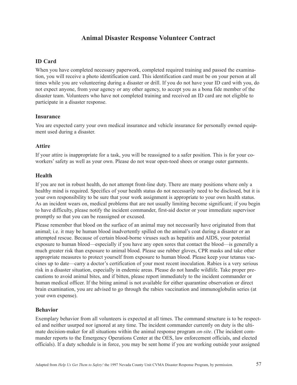# **Animal Disaster Response Volunteer Contract**

#### **ID Card**

When you have completed necessary paperwork, completed required training and passed the examination, you will receive a photo identification card. This identification card must be on your person at all times while you are volunteering during a disaster or drill. If you do not have your ID card with you, do not expect anyone, from your agency or any other agency, to accept you as a bona fide member of the disaster team. Volunteers who have not completed training and received an ID card are not eligible to participate in a disaster response.

#### **Insurance**

You are expected carry your own medical insurance and vehicle insurance for personally owned equipment used during a disaster.

#### **Attire**

If your attire is inappropriate for a task, you will be reassigned to a safer position. This is for your coworkers' safety as well as your own. Please do not wear open-toed shoes or orange outer garments.

#### **Health**

If you are not in robust health, do not attempt front-line duty. There are many positions where only a healthy mind is required. Specifics of your health status do not necessarily need to be disclosed, but it is your own responsibility to be sure that your work assignment is appropriate to your own health status. As an incident wears on, medical problems that are not usually limiting become significant; if you begin to have difficulty, please notify the incident commander, first-aid doctor or your immediate supervisor promptly so that you can be reassigned or excused.

Please remember that blood on the surface of an animal may not necessarily have originated from that animal; i.e. it may be human blood inadvertently spilled on the animal's coat during a disaster or an attempted rescue. Because of certain blood-borne viruses such as hepatitis and AIDS, your potential exposure to human blood—especially if you have any open sores that contact the blood—is generally a much greater risk than exposure to animal blood. Please use rubber gloves, CPR masks and take other appropriate measures to protect yourself from exposure to human blood. Please keep your tetanus vaccines up to date—carry a doctor's certification of your most recent inoculation. Rabies is a very serious risk in a disaster situation, especially in endemic areas. Please do not handle wildlife. Take proper precautions to avoid animal bites, and if bitten, please report immediately to the incident commander or human medical officer. If the biting animal is not available for either quarantine observation or direct brain examination, you are advised to go through the rabies vaccination and immunoglobulin series (at your own expense).

#### **Behavior**

Exemplary behavior from all volunteers is expected at all times. The command structure is to be respected and neither usurped nor ignored at any time. The incident commander currently on duty is the ultimate decision-maker for all situations within the animal response program *on-site*. (The incident commander reports to the Emergency Operations Center at the OES, law enforcement officials, and elected officials). If a duty schedule is in force, you may be sent home if you are working outside your assigned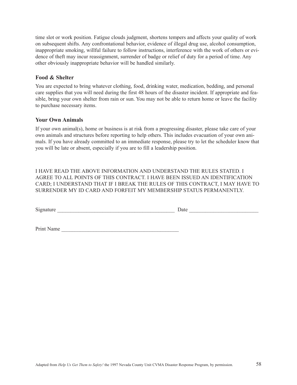time slot or work position. Fatigue clouds judgment, shortens tempers and affects your quality of work on subsequent shifts. Any confrontational behavior, evidence of illegal drug use, alcohol consumption, inappropriate smoking, willful failure to follow instructions, interference with the work of others or evidence of theft may incur reassignment, surrender of badge or relief of duty for a period of time. Any other obviously inappropriate behavior will be handled similarly.

#### **Food & Shelter**

You are expected to bring whatever clothing, food, drinking water, medication, bedding, and personal care supplies that you will need during the first 48 hours of the disaster incident. If appropriate and feasible, bring your own shelter from rain or sun. You may not be able to return home or leave the facility to purchase necessary items.

#### **Your Own Animals**

If your own animal(s), home or business is at risk from a progressing disaster, please take care of your own animals and structures before reporting to help others. This includes evacuation of your own animals. If you have already committed to an immediate response, please try to let the scheduler know that you will be late or absent, especially if you are to fill a leadership position.

I HAVE READ THE ABOVE INFORMATION AND UNDERSTAND THE RULES STATED. I AGREE TO ALL POINTS OF THIS CONTRACT. I HAVE BEEN ISSUED AN IDENTIFICATION CARD; I UNDERSTAND THAT IF I BREAK THE RULES OF THIS CONTRACT, I MAY HAVE TO SURRENDER MY ID CARD AND FORFEIT MY MEMBERSHIP STATUS PERMANENTLY.

Signature \_\_\_\_\_\_\_\_\_\_\_\_\_\_\_\_\_\_\_\_\_\_\_\_\_\_\_\_\_\_\_\_\_\_\_\_\_\_\_\_\_\_\_\_ Date \_\_\_\_\_\_\_\_\_\_\_\_\_\_\_\_\_\_\_\_\_\_\_\_\_\_

Print Name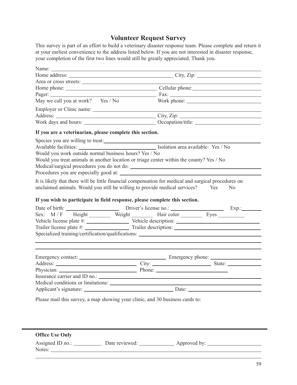# **Volunteer Request Survey**

This survey is part of an effort to build a veterinary disaster response team. Please complete and return it at your earliest convenience to the address listed below. If you are not interested in disaster response, your completion of the first two lines would still be greatly appreciated. Thank you.

| Area or cross streets:                                   |                                                                                                                                                                                                                                      |
|----------------------------------------------------------|--------------------------------------------------------------------------------------------------------------------------------------------------------------------------------------------------------------------------------------|
|                                                          |                                                                                                                                                                                                                                      |
|                                                          |                                                                                                                                                                                                                                      |
| May we call you at work? Yes / No                        |                                                                                                                                                                                                                                      |
|                                                          |                                                                                                                                                                                                                                      |
|                                                          |                                                                                                                                                                                                                                      |
|                                                          |                                                                                                                                                                                                                                      |
| If you are a veterinarian, please complete this section. |                                                                                                                                                                                                                                      |
|                                                          |                                                                                                                                                                                                                                      |
|                                                          |                                                                                                                                                                                                                                      |
| Would you work outside normal business hours? Yes / No   |                                                                                                                                                                                                                                      |
|                                                          | Would you treat animals in another location or triage center within the county? Yes / No                                                                                                                                             |
|                                                          |                                                                                                                                                                                                                                      |
|                                                          |                                                                                                                                                                                                                                      |
|                                                          | It is likely that there will be little financial compensation for medical and surgical procedures on                                                                                                                                 |
|                                                          | unclaimed animals. Would you still be willing to provide medical services? Yes<br>N <sub>0</sub>                                                                                                                                     |
|                                                          |                                                                                                                                                                                                                                      |
|                                                          | If you wish to participate in field response, please complete this section.                                                                                                                                                          |
|                                                          | Date of birth: <u>Charles Community Charles Community Charles Charles Charles Charles Charles Charles Charles Charles Charles Charles Charles Charles Charles Charles Charles Charles Charles Charles Charles Charles Charles Ch</u> |
|                                                          | Sex: M/F Height Weight Hair color Eyes                                                                                                                                                                                               |
|                                                          |                                                                                                                                                                                                                                      |
|                                                          |                                                                                                                                                                                                                                      |
|                                                          |                                                                                                                                                                                                                                      |
|                                                          |                                                                                                                                                                                                                                      |
|                                                          |                                                                                                                                                                                                                                      |
|                                                          |                                                                                                                                                                                                                                      |
|                                                          |                                                                                                                                                                                                                                      |
|                                                          |                                                                                                                                                                                                                                      |
|                                                          |                                                                                                                                                                                                                                      |
|                                                          |                                                                                                                                                                                                                                      |
|                                                          |                                                                                                                                                                                                                                      |
|                                                          | Please mail this survey, a map showing your clinic, and 30 business cards to:                                                                                                                                                        |

| <b>Office Use Only</b> |                |              |
|------------------------|----------------|--------------|
| Assigned ID no.:       | Date reviewed: | Approved by: |
| Notes:                 |                |              |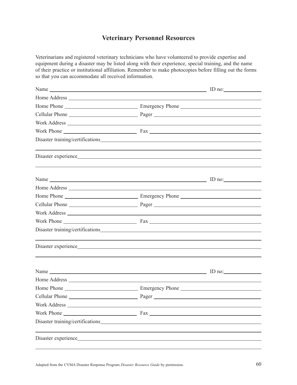# **Veterinary Personnel Resources**

Veterinarians and registered veterinary technicians who have volunteered to provide expertise and equipment during a disaster may be listed along with their experience, special training, and the name of their practice or institutional affiliation. Remember to make photocopies before filling out the forms so that you can accommodate all received information.

| Name $\Box$ ID no: $\Box$                                                                                                                                                             |                                                                                                                                                                      |  |
|---------------------------------------------------------------------------------------------------------------------------------------------------------------------------------------|----------------------------------------------------------------------------------------------------------------------------------------------------------------------|--|
|                                                                                                                                                                                       |                                                                                                                                                                      |  |
|                                                                                                                                                                                       |                                                                                                                                                                      |  |
|                                                                                                                                                                                       |                                                                                                                                                                      |  |
|                                                                                                                                                                                       |                                                                                                                                                                      |  |
|                                                                                                                                                                                       |                                                                                                                                                                      |  |
|                                                                                                                                                                                       |                                                                                                                                                                      |  |
| ,我们也不能在这里的时候,我们也不能在这里的时候,我们也不能会在这里的时候,我们也不能会在这里的时候,我们也不能会在这里的时候,我们也不能会在这里的时候,我们也                                                                                                      |                                                                                                                                                                      |  |
| Name $\frac{1}{\sqrt{1-\frac{1}{2}}}\left(1-\frac{1}{2}\right)$ $\frac{1}{\sqrt{1-\frac{1}{2}}}\left(1-\frac{1}{2}\right)$ $\frac{1}{\sqrt{1-\frac{1}{2}}}\left(1-\frac{1}{2}\right)$ |                                                                                                                                                                      |  |
|                                                                                                                                                                                       |                                                                                                                                                                      |  |
|                                                                                                                                                                                       |                                                                                                                                                                      |  |
|                                                                                                                                                                                       |                                                                                                                                                                      |  |
|                                                                                                                                                                                       |                                                                                                                                                                      |  |
|                                                                                                                                                                                       |                                                                                                                                                                      |  |
|                                                                                                                                                                                       |                                                                                                                                                                      |  |
|                                                                                                                                                                                       | ,我们也不能会在这里,我们的人们也不能会在这里,我们也不能会在这里,我们也不能会在这里,我们也不能会在这里,我们也不能会在这里,我们也不能会不能会不能会。""我<br>第115章 我们的人们,我们的人们的人们,我们的人们的人们,我们的人们的人们,我们的人们的人们,我们的人们的人们,我们的人们的人们,我们的人们的人们,我们的人们 |  |
|                                                                                                                                                                                       |                                                                                                                                                                      |  |
|                                                                                                                                                                                       |                                                                                                                                                                      |  |
|                                                                                                                                                                                       |                                                                                                                                                                      |  |
|                                                                                                                                                                                       |                                                                                                                                                                      |  |
| Work Address                                                                                                                                                                          |                                                                                                                                                                      |  |
|                                                                                                                                                                                       |                                                                                                                                                                      |  |
|                                                                                                                                                                                       |                                                                                                                                                                      |  |
|                                                                                                                                                                                       |                                                                                                                                                                      |  |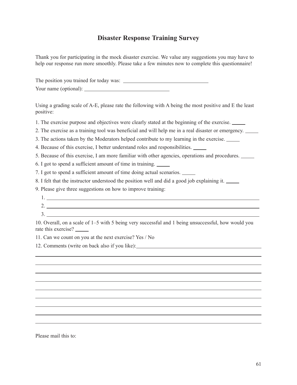# **Disaster Response Training Survey**

Thank you for participating in the mock disaster exercise. We value any suggestions you may have to help our response run more smoothly. Please take a few minutes now to complete this questionnaire!

The position you trained for today was: Your name (optional):

Using a grading scale of A-E, please rate the following with A being the most positive and E the least positive:

1. The exercise purpose and objectives were clearly stated at the beginning of the exercise.

2. The exercise as a training tool was beneficial and will help me in a real disaster or emergency.

3. The actions taken by the Moderators helped contribute to my learning in the exercise.

4. Because of this exercise, I better understand roles and responsibilities.

5. Because of this exercise, I am more familiar with other agencies, operations and procedures.

6. I got to spend a sufficient amount of time in training.

7. I got to spend a sufficient amount of time doing actual scenarios.

8. I felt that the instructor understood the position well and did a good job explaining it.

9. Please give three suggestions on how to improve training:

- 1.
- 2. 3.

10. Overall, on a scale of 1–5 with 5 being very successful and 1 being unsuccessful, how would you rate this exercise?

11. Can we count on you at the next exercise? Yes / No

12. Comments (write on back also if you like):

Please mail this to: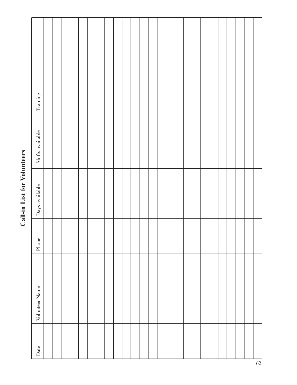# Training Date Volunteer Name Phone Days available Shifts available TrainingShifts available Days available Phone Volunteer Name Date

# Call-in List for Volunteers **Call-in List for Volunteers**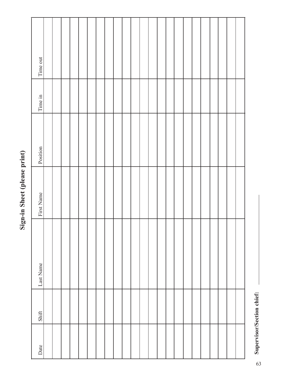| Position<br>First Name |
|------------------------|
|                        |
|                        |
|                        |
|                        |
|                        |
|                        |
|                        |
|                        |
|                        |
|                        |
|                        |
|                        |
|                        |
|                        |
|                        |
|                        |
|                        |
|                        |
|                        |
|                        |
|                        |
|                        |

**Sign-in Sheet (please print)**

Sign-in Sheet (please print)

Supervisor/Section chief: **Supervisor/Section chief:**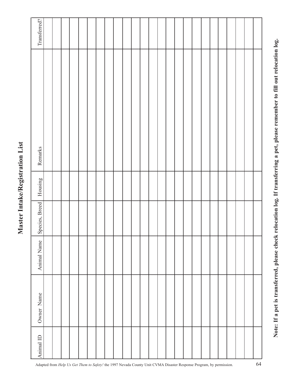# Master Intake/Registration List **Master Intake/Registration List**

| Transferred?   |  |  |  |  |  |  |  |  |  |  |  |  |  |
|----------------|--|--|--|--|--|--|--|--|--|--|--|--|--|
| Remarks        |  |  |  |  |  |  |  |  |  |  |  |  |  |
| Housing        |  |  |  |  |  |  |  |  |  |  |  |  |  |
| Species, Breed |  |  |  |  |  |  |  |  |  |  |  |  |  |
| Animal Name    |  |  |  |  |  |  |  |  |  |  |  |  |  |
| Owner Name     |  |  |  |  |  |  |  |  |  |  |  |  |  |
| Animal ID      |  |  |  |  |  |  |  |  |  |  |  |  |  |

Note: If a pet is transferred, please check relocation log. If transferring a pet, please remember to fill out relocation log. **Note: If a pet is transferred, please check relocation log. If transferring a pet, please remember to fill out relocation log.**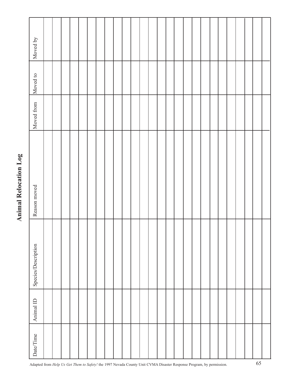| Moved by            |  |  |  |  |  |  |  |  |  |  |  |  |  |
|---------------------|--|--|--|--|--|--|--|--|--|--|--|--|--|
| Moved to            |  |  |  |  |  |  |  |  |  |  |  |  |  |
| Moved from          |  |  |  |  |  |  |  |  |  |  |  |  |  |
| Reason moved        |  |  |  |  |  |  |  |  |  |  |  |  |  |
| Species/Description |  |  |  |  |  |  |  |  |  |  |  |  |  |
| Animal ID           |  |  |  |  |  |  |  |  |  |  |  |  |  |
| Date/Time           |  |  |  |  |  |  |  |  |  |  |  |  |  |

# **Animal Relocation Log Animal Relocation Log**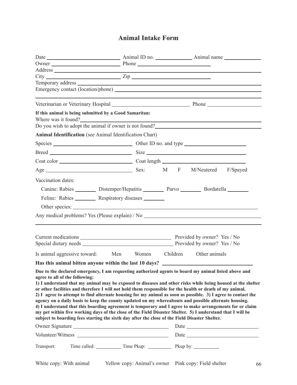# **Animal Intake Form**

|                                                                |                                                                                                     |  | Address experiences and the contract of the contract of the contract of the contract of the contract of the contract of the contract of the contract of the contract of the contract of the contract of the contract of the co |                                                                                                                         |
|----------------------------------------------------------------|-----------------------------------------------------------------------------------------------------|--|--------------------------------------------------------------------------------------------------------------------------------------------------------------------------------------------------------------------------------|-------------------------------------------------------------------------------------------------------------------------|
| $City$ $Zip$                                                   |                                                                                                     |  |                                                                                                                                                                                                                                |                                                                                                                         |
|                                                                |                                                                                                     |  |                                                                                                                                                                                                                                | Temporary address                                                                                                       |
|                                                                | the contract of the contract of the contract of the contract of the contract of the contract of the |  |                                                                                                                                                                                                                                |                                                                                                                         |
|                                                                |                                                                                                     |  |                                                                                                                                                                                                                                |                                                                                                                         |
| If this animal is being submitted by a Good Samaritan:         |                                                                                                     |  |                                                                                                                                                                                                                                |                                                                                                                         |
|                                                                |                                                                                                     |  |                                                                                                                                                                                                                                | Where was it found?                                                                                                     |
|                                                                |                                                                                                     |  |                                                                                                                                                                                                                                | Do you wish to adopt the animal if owner is not found?<br><u>Do you wish to adopt the animal if owner is not found?</u> |
| <b>Animal Identification</b> (see Animal Identification Chart) |                                                                                                     |  |                                                                                                                                                                                                                                |                                                                                                                         |
|                                                                |                                                                                                     |  |                                                                                                                                                                                                                                |                                                                                                                         |
|                                                                |                                                                                                     |  |                                                                                                                                                                                                                                |                                                                                                                         |
|                                                                |                                                                                                     |  |                                                                                                                                                                                                                                |                                                                                                                         |
|                                                                |                                                                                                     |  |                                                                                                                                                                                                                                |                                                                                                                         |
| Vaccination dates:                                             |                                                                                                     |  |                                                                                                                                                                                                                                |                                                                                                                         |
|                                                                |                                                                                                     |  | Canine: Rabies _________ Distemper/Hepatitis _________ Parvo ________ Bordatella _______                                                                                                                                       |                                                                                                                         |
|                                                                | Feline: Rabies _________ Respiratory diseases _______                                               |  |                                                                                                                                                                                                                                |                                                                                                                         |
|                                                                |                                                                                                     |  |                                                                                                                                                                                                                                |                                                                                                                         |
|                                                                |                                                                                                     |  |                                                                                                                                                                                                                                |                                                                                                                         |
|                                                                |                                                                                                     |  |                                                                                                                                                                                                                                | Any medical problems? Yes (Please explain) / No _________________________________                                       |
|                                                                |                                                                                                     |  |                                                                                                                                                                                                                                |                                                                                                                         |
|                                                                |                                                                                                     |  |                                                                                                                                                                                                                                |                                                                                                                         |
|                                                                |                                                                                                     |  |                                                                                                                                                                                                                                |                                                                                                                         |
|                                                                |                                                                                                     |  | Is animal aggressive toward: Men Women Children Other animals                                                                                                                                                                  |                                                                                                                         |
|                                                                |                                                                                                     |  | Has this animal bitten anyone within the last 10 days? __________________________                                                                                                                                              |                                                                                                                         |
|                                                                |                                                                                                     |  |                                                                                                                                                                                                                                |                                                                                                                         |
| agree to all of the following:                                 |                                                                                                     |  | Due to the declared emergency, I am requesting authorized agents to board my animal listed above and                                                                                                                           |                                                                                                                         |
|                                                                |                                                                                                     |  |                                                                                                                                                                                                                                | 1) I understand that my animal may be exposed to diseases and other risks while being housed at the shelter             |
|                                                                |                                                                                                     |  | or other facilities and therefore I will not hold them responsible for the health or death of my animal.                                                                                                                       |                                                                                                                         |
|                                                                |                                                                                                     |  | 2) I agree to attempt to find alternate housing for my animal as soon as possible. 3) I agree to contact the                                                                                                                   |                                                                                                                         |
|                                                                |                                                                                                     |  | agency on a daily basis to keep the county updated on my whereabouts and possible alternate housing.                                                                                                                           |                                                                                                                         |
|                                                                |                                                                                                     |  | 4) I understand that this boarding agreement is temporary and I agree to make arrangements for or claim                                                                                                                        |                                                                                                                         |
|                                                                |                                                                                                     |  | my pet within five working days of the close of the Field Disaster Shelter. 5) I understand that I will be<br>subject to boarding fees starting the sixth day after the close of the Field Disaster Shelter.                   |                                                                                                                         |
|                                                                |                                                                                                     |  |                                                                                                                                                                                                                                |                                                                                                                         |
|                                                                |                                                                                                     |  |                                                                                                                                                                                                                                | Volunteer/Witness Date Date Date                                                                                        |
|                                                                |                                                                                                     |  |                                                                                                                                                                                                                                |                                                                                                                         |
| Transport:                                                     |                                                                                                     |  |                                                                                                                                                                                                                                |                                                                                                                         |
|                                                                |                                                                                                     |  |                                                                                                                                                                                                                                |                                                                                                                         |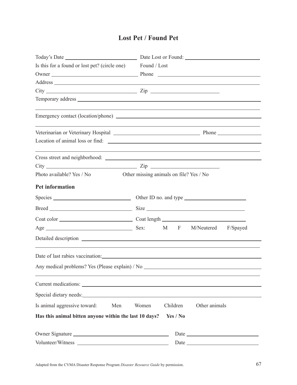# **Lost Pet / Found Pet**

| Is this for a found or lost pet? (circle one) Found / Lost                                                                                                                                                                     |       |          |               |                                                                                                                  |
|--------------------------------------------------------------------------------------------------------------------------------------------------------------------------------------------------------------------------------|-------|----------|---------------|------------------------------------------------------------------------------------------------------------------|
|                                                                                                                                                                                                                                |       |          |               |                                                                                                                  |
| Address experiences and the contract of the contract of the contract of the contract of the contract of the contract of the contract of the contract of the contract of the contract of the contract of the contract of the co |       |          |               |                                                                                                                  |
| $City$ $Zip$                                                                                                                                                                                                                   |       |          |               |                                                                                                                  |
|                                                                                                                                                                                                                                |       |          |               |                                                                                                                  |
|                                                                                                                                                                                                                                |       |          |               |                                                                                                                  |
|                                                                                                                                                                                                                                |       |          |               |                                                                                                                  |
|                                                                                                                                                                                                                                |       |          |               |                                                                                                                  |
|                                                                                                                                                                                                                                |       |          |               | and the control of the control of the control of the control of the control of the control of the control of the |
| $City$ $Zip$                                                                                                                                                                                                                   |       |          |               |                                                                                                                  |
| Other missing animals on file? Yes / No<br>Photo available? Yes / No                                                                                                                                                           |       |          |               |                                                                                                                  |
| <b>Pet information</b>                                                                                                                                                                                                         |       |          |               |                                                                                                                  |
|                                                                                                                                                                                                                                |       |          |               |                                                                                                                  |
|                                                                                                                                                                                                                                |       |          |               |                                                                                                                  |
|                                                                                                                                                                                                                                |       |          |               |                                                                                                                  |
|                                                                                                                                                                                                                                |       |          |               |                                                                                                                  |
|                                                                                                                                                                                                                                |       |          |               |                                                                                                                  |
|                                                                                                                                                                                                                                |       |          |               |                                                                                                                  |
| Any medical problems? Yes (Please explain) / No _________________________________                                                                                                                                              |       |          |               |                                                                                                                  |
|                                                                                                                                                                                                                                |       |          |               |                                                                                                                  |
|                                                                                                                                                                                                                                |       |          |               |                                                                                                                  |
| Is animal aggressive toward:<br>Men                                                                                                                                                                                            | Women | Children | Other animals |                                                                                                                  |
| Has this animal bitten anyone within the last 10 days?                                                                                                                                                                         |       | Yes / No |               |                                                                                                                  |
|                                                                                                                                                                                                                                |       |          |               |                                                                                                                  |
| Volunteer/Witness                                                                                                                                                                                                              |       |          |               |                                                                                                                  |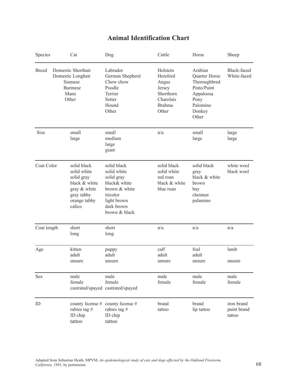# **Animal Identification Chart**

| Species      | Cat                                                                                                               | Dog                                                                                                                                 | Cattle                                                                                      | Horse                                                                                                       | Sheep                               |
|--------------|-------------------------------------------------------------------------------------------------------------------|-------------------------------------------------------------------------------------------------------------------------------------|---------------------------------------------------------------------------------------------|-------------------------------------------------------------------------------------------------------------|-------------------------------------|
| <b>Breed</b> | Domestic Shorthair<br>Domestic Longhair<br>Siamese<br><b>Burmese</b><br>Manx<br>Other                             | Labrador<br>German Shepherd<br>Chow chow<br>Poodle<br>Terrier<br>Setter<br>Hound<br>Other                                           | Holstein<br>Hereford<br>Angus<br>Jersey<br>Shorthorn<br>Charolais<br><b>Brahma</b><br>Other | Arabian<br>Quarter Horse<br>Thoroughbred<br>Pinto/Paint<br>Appaloosa<br>Pony<br>Palomino<br>Donkey<br>Other | <b>Black-faced</b><br>White-faced   |
| Size         | small<br>large                                                                                                    | small<br>medium<br>large<br>giant                                                                                                   | n/a                                                                                         | small<br>large                                                                                              | large<br>large                      |
| Coat Color   | solid black<br>solid white<br>solid gray<br>black & white<br>gray & white<br>gray tabby<br>orange tabby<br>calico | solid black<br>solid white<br>solid gray<br>black& white<br>brown & white<br>tricolor<br>light brown<br>dark brown<br>brown & black | solid black<br>solid white<br>red roan<br>black & white<br>blue roan                        | solid black<br>gray<br>black & white<br>brown<br>bay<br>chestnut<br>palamino                                | white wool<br>black wool            |
| Coat length  | short<br>long                                                                                                     | short<br>long                                                                                                                       | n/a                                                                                         | n/a                                                                                                         | n/a                                 |
| Age          | kitten<br>adult<br>unsure                                                                                         | puppy<br>adult<br>unsure                                                                                                            | calf<br>adult<br>unsure                                                                     | foal<br>adult<br>unsure                                                                                     | lamb<br>unsure                      |
| Sex          | male<br>female                                                                                                    | male<br>female<br>castrated/spayed castrated/spayed                                                                                 | male<br>female                                                                              | male<br>female                                                                                              | male<br>female                      |
| ID           | county license #<br>rabies tag #<br>ID chip<br>tattoo                                                             | county license #<br>rabies tag #<br>ID chip<br>tattoo                                                                               | brand<br>tattoo                                                                             | brand<br>lip tattoo                                                                                         | iron brand<br>paint brand<br>tattoo |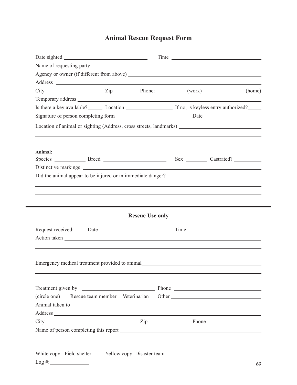# **Animal Rescue Request Form**

| Is there a key available? Location Location If no, is keyless entry authorized?                                                                                                                                                  |  |                        |  |  |  |  |
|----------------------------------------------------------------------------------------------------------------------------------------------------------------------------------------------------------------------------------|--|------------------------|--|--|--|--|
| Signature of person completing form<br>Signature of person completing form Signature of person completing form Signature of person completing form Signature of person completing form Signature of person completing form Signa |  |                        |  |  |  |  |
|                                                                                                                                                                                                                                  |  |                        |  |  |  |  |
| Animal:                                                                                                                                                                                                                          |  |                        |  |  |  |  |
|                                                                                                                                                                                                                                  |  |                        |  |  |  |  |
|                                                                                                                                                                                                                                  |  |                        |  |  |  |  |
|                                                                                                                                                                                                                                  |  |                        |  |  |  |  |
| Did the animal appear to be injured or in immediate danger?                                                                                                                                                                      |  |                        |  |  |  |  |
|                                                                                                                                                                                                                                  |  |                        |  |  |  |  |
|                                                                                                                                                                                                                                  |  |                        |  |  |  |  |
|                                                                                                                                                                                                                                  |  |                        |  |  |  |  |
|                                                                                                                                                                                                                                  |  | <b>Rescue Use only</b> |  |  |  |  |
|                                                                                                                                                                                                                                  |  |                        |  |  |  |  |
| Emergency medical treatment provided to animal                                                                                                                                                                                   |  |                        |  |  |  |  |
|                                                                                                                                                                                                                                  |  |                        |  |  |  |  |
|                                                                                                                                                                                                                                  |  |                        |  |  |  |  |
|                                                                                                                                                                                                                                  |  |                        |  |  |  |  |
|                                                                                                                                                                                                                                  |  |                        |  |  |  |  |
| (circle one) Rescue team member Veterinarian Other _____________________________<br>$City$ $Zip$ $Zip$ $Iip$ $Phone$ $In$                                                                                                        |  |                        |  |  |  |  |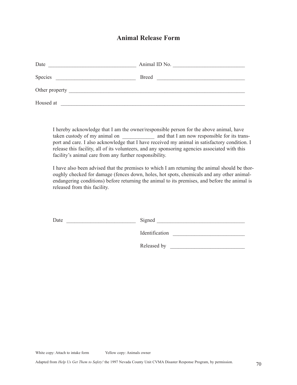# **Animal Release Form**

| Date           | Animal ID No. |
|----------------|---------------|
| Species        | <b>Breed</b>  |
| Other property |               |
| Housed at      |               |

I hereby acknowledge that I am the owner/responsible person for the above animal, have taken custody of my animal on \_\_\_\_\_\_\_\_\_\_\_\_\_\_\_ and that I am now responsible for its transport and care. I also acknowledge that I have received my animal in satisfactory condition. I release this facility, all of its volunteers, and any sponsoring agencies associated with this facility's animal care from any further responsibility.

I have also been advised that the premises to which I am returning the animal should be thoroughly checked for damage (fences down, holes, hot spots, chemicals and any other animalendangering conditions) before returning the animal to its premises, and before the animal is released from this facility.

| Ð<br>Date | $\sqrt{10}$ nec $^{\prime}$ |  |
|-----------|-----------------------------|--|
|           |                             |  |

Identification  $\blacksquare$ 

Released by \_\_\_\_\_\_\_\_\_\_\_\_\_\_\_\_\_\_\_\_\_\_\_\_\_\_\_\_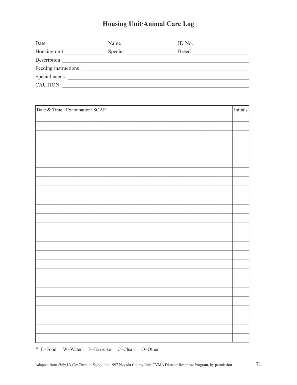# **Housing Unit/Animal Care Log**

| Date                 | Name    | ID No.       |
|----------------------|---------|--------------|
| Housing unit         | Species | <b>Breed</b> |
| Description          |         |              |
| Feeding instructions |         |              |
| Special needs        |         |              |
| CAUTION:             |         |              |

| Date & Time Examination/ SOAP | Initials |
|-------------------------------|----------|
|                               |          |
|                               |          |
|                               |          |
|                               |          |
|                               |          |
|                               |          |
|                               |          |
|                               |          |
|                               |          |
|                               |          |
|                               |          |
|                               |          |
|                               |          |
|                               |          |
|                               |          |
|                               |          |
|                               |          |
|                               |          |
|                               |          |
|                               |          |
|                               |          |
|                               |          |
|                               |          |
|                               |          |
|                               |          |

\* F=Food W=Water E=Exercise C=Clean O=Other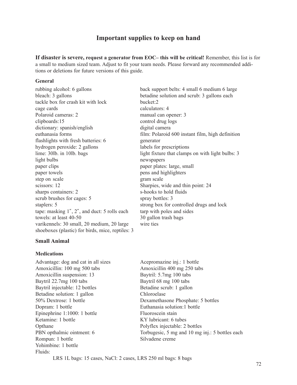### **Important supplies to keep on hand**

**If disaster is severe, request a generator from EOC– this will be critical!** Remember, this list is for a small to medium sized team. Adjust to fit your team needs. Please forward any recommended additions or deletions for future versions of this guide.

#### **General**

tackle box for crash kit with lock bucket:2 cage cards calculators: 4 Polaroid cameras: 2 manual can opener: 3 clipboards:15 control drug logs dictionary: spanish/english digital camera flashlights with fresh batteries: 6 generator hydrogen peroxide: 2 gallons labels for prescriptions light bulbs newspapers paper clips paper plates: large, small paper towels pens and highlighters step on scale gram scale gram scale scissors: 12 Sharpies, wide and thin point: 24 sharps containers: 2 s-hooks to hold fluids scrub brushes for cages: 5 spray bottles: 3 staplers: 5 strong box for controlled drugs and lock tape: masking 1″, 2″, and duct: 5 rolls each tarp with poles and sides towels: at least 40-50 30 gallon trash bags varikennels: 30 small, 20 medium, 20 large wire ties shoeboxes (plastic) for birds, mice, reptiles: 3

#### **Small Animal**

#### **Medications**

Advantage: dog and cat in all sizes Acepromazine inj.: 1 bottle Amoxicillin: 100 mg 500 tabs Amoxicillin 400 mg 250 tabs Amoxicillin suspension: 13 Baytril: 5.7mg 100 tabs Baytril 22.7mg 100 tabs Baytril 68 mg 100 tabs Baytril injectable: 12 bottles Betadine scrub: 1 gallon Betadine solution: 1 gallon Chloroelase 50% Dextrose: 1 bottle Dexamethasone Phosphate: 5 bottles Dopram: 1 bottle Euthanasia solution:1 bottle Epinephrine 1:1000: 1 bottle Fluoroscein stain Ketamine: 1 bottle KY lubricant: 6 tubes Opthane Polyflex injectable: 2 bottles PBN opthalmic ointment: 6 Torbugesic, 5 mg and 10 mg inj.: 5 bottles each Rompun: 1 bottle Silvadene creme Yohimbine: 1 bottle Fluids:

rubbing alcohol: 6 gallons back support belts: 4 small 6 medium 6 large bleach: 3 gallons betadine solution and scrub: 3 gallons each euthanasia forms film: Polaroid 600 instant film, high definition lime: 30lb. in 10lb. bags light fixture that clamps on with light bulbs: 3

LRS 1L bags: 15 cases, NaCl: 2 cases, LRS 250 ml bags: 8 bags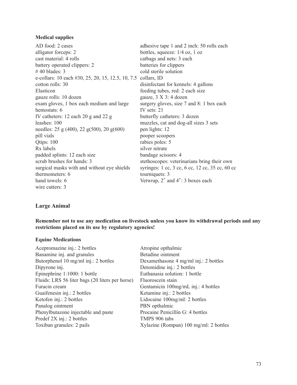#### **Medical supplies**

| AD food: 2 cases                                  | adhesive tape 1 and 2 inch: 50 rolls each       |
|---------------------------------------------------|-------------------------------------------------|
| alligator forceps: 2                              | bottles, squeeze: $1/4$ oz, 1 oz                |
| cast material: 4 rolls                            | catbags and nets: 3 each                        |
| battery operated clippers: 2                      | batteries for clippers                          |
| $# 40$ blades: 3                                  | cold sterile solution                           |
| e-collars: 10 each #30, 25, 20, 15, 12.5, 10, 7.5 | collars, ID                                     |
| cotton rolls: 30                                  | disinfectant for kennels: 4 gallons             |
| Elasticon                                         | feeding tubes, red: 2 each size                 |
| gauze rolls: 10 dozen                             | gauze, 3 X 3: 4 dozen                           |
| exam gloves, 1 box each medium and large          | surgery gloves, size 7 and 8: 1 box each        |
| hemostats: 6                                      | IV sets: $21$                                   |
| IV catheters: 12 each 20 g and 22 g               | butterfly catheters: 3 dozen                    |
| leashes: 100                                      | muzzles, cat and dog-all sizes 3 sets           |
| needles: $25$ g (400), $22$ g(500), $20$ g(600)   | pen lights: 12                                  |
| pill vials                                        | pooper scoopers                                 |
| Qtips: 100                                        | rabies poles: 5                                 |
| Rx labels                                         | silver nitrate                                  |
| padded splints: 12 each size                      | bandage scissors: 4                             |
| scrub brushes for hands: 3                        | stethoscopes: veterinarians bring their own     |
| surgical masks with and without eye shields       | syringes: 1 cc, 3 cc, 6 cc, 12 cc, 35 cc, 60 cc |
| thermometers: 6                                   | tourniquets: 3                                  |
| hand towels: 6                                    | Vetwrap, 2" and 4": 3 boxes each                |
| wire cutters: 3                                   |                                                 |

#### **Large Animal**

**Remember not to use any medication on livestock unless you know its withdrawal periods and any restrictions placed on its use by regulatory agencies!**

#### **Equine Medications**

| Acepromazine inj.: 2 bottles                    | Atropine opthalmic                     |
|-------------------------------------------------|----------------------------------------|
| Banamine inj. and granules                      | Betadine ointment                      |
| Butorphenol 10 mg/ml inj.: 2 bottles            | Dexamethasone 4 mg/ml inj.: 2 bottles  |
| Dipyrone inj.                                   | Detomidine inj.: 2 bottles             |
| Epinephrine 1:1000: 1 bottle                    | Euthanasia solution: 1 bottle          |
| Fluids: LRS 56 liter bags (20 liters per horse) | Fluoroscein stain                      |
| Furacin cream                                   | Gentamicin 100mg/mL inj.: 4 bottles    |
| Guaifenesin inj.: 2 bottles                     | Ketamine inj.: 2 bottles               |
| Ketofen inj.: 2 bottles                         | Lidocaine 100mg/ml: 2 bottles          |
| Panalog ointment                                | PBN opthalmic                          |
| Phenylbutazone injectable and paste             | Procaine Penicillin G: 4 bottles       |
| Predef 2X inj.: 2 bottles                       | TMPS 906 tabs                          |
| Toxiban granules: 2 pails                       | Xylazine (Rompun) 100 mg/ml: 2 bottles |
|                                                 |                                        |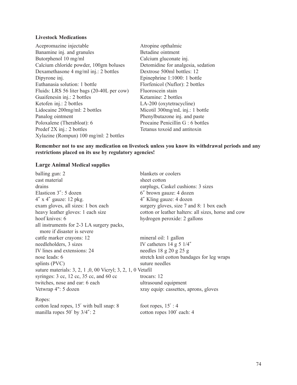#### **Livestock Medications**

- Acepromazine injectable Atropine opthalmic Banamine inj. and granules Betadine ointment Butorphenol 10 mg/ml Calcium gluconate inj. Calcium chloride powder, 100gm boluses Detomidine for analgesia, sedation Dexamethasone 4 mg/ml inj.: 2 bottles Dextrose 500ml bottles: 12 Dipyrone inj. Epinephrine 1:1000: 1 bottle Euthanasia solution: 1 bottle Florfenicol (Nuflor): 2 bottles Fluids: LRS 56 liter bags (20-40L per cow) Fluoroscein stain Guaifenesin inj.: 2 bottles Ketamine: 2 bottles Ketofen inj.: 2 bottles LA-200 (oxytetracycline)<br>Lidocaine 200mg/ml: 2 bottles Micotil 300mg/mL inj.: 1 Panalog ointment Phenylbutazone inj. and paste Poloxalene (Therabloat): 6 Procaine Penicillin G : 6 bottles Predef 2X inj.: 2 bottles Tetanus toxoid and antitoxin Xylazine (Rompun) 100 mg/ml: 2 bottles
	- Micotil  $300$ mg/mL inj.: 1 bottle

**Remember not to use any medication on livestock unless you know its withdrawal periods and any restrictions placed on its use by regulatory agencies!**

#### **Large Animal Medical supplies**

| balling gun: 2                                                                     | blankets or coolers                                 |
|------------------------------------------------------------------------------------|-----------------------------------------------------|
| cast material                                                                      | sheet cotton                                        |
| drains                                                                             | earplugs, Caskel cushions: 3 sizes                  |
| Elasticon 3": 5 dozen                                                              | 6" brown gauze: 4 dozen                             |
| $4''$ x $4''$ gauze: 12 pkg.                                                       | 4" Kling gauze: 4 dozen                             |
| exam gloves, all sizes: 1 box each                                                 | surgery gloves, size 7 and 8: 1 box each            |
| heavy leather gloves: 1 each size                                                  | cotton or leather halters: all sizes, horse and cow |
| hoof knives: 6                                                                     | hydrogen peroxide: 2 gallons                        |
| all instruments for 2-3 LA surgery packs,                                          |                                                     |
| more if disaster is severe                                                         |                                                     |
| cattle marker crayons: 12                                                          | mineral oil: 1 gallon                               |
| needleholders, 3 sizes                                                             | IV catheters $14$ g 5 $1/4''$                       |
| IV lines and extensions: 24                                                        | needles $18$ g $20$ g $25$ g                        |
| nose leads: 6                                                                      | stretch knit cotton bandages for leg wraps          |
| splints (PVC)                                                                      | suture needles                                      |
| suture materials: 3, 2, 1, 0, 00 Vicryl; 3, 2, 1, 0 Vetafil                        |                                                     |
| syringes: $3 \text{ cc}$ , $12 \text{ cc}$ , $35 \text{ cc}$ , and $60 \text{ cc}$ | trocars: $12$                                       |
| twitches, nose and ear: 6 each                                                     | ultrasound equipment                                |
| Vetwrap 4": 5 dozen                                                                | xray equip: cassettes, aprons, gloves               |
| Ropes:                                                                             |                                                     |
| cotton lead ropes, 15' with bull snap: 8                                           | foot ropes, $15'$ : 4                               |
| manilla ropes $50'$ by $3/4''$ : 2                                                 | cotton ropes 100' each: 4                           |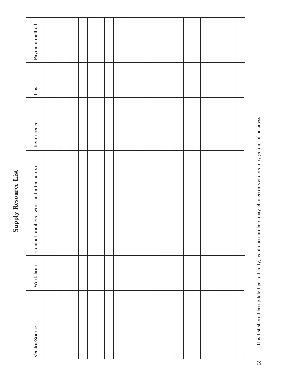# Payment method Vendor/Source Work hours Contact numbers (work and after-hours) Item needed Cost Payment method Cost Item needed Contact numbers (work and after-hours) Work hours Vendor/Source

**Supply Resource List**

**Supply Resource List** 

This list should be updated periodically, as phone numbers may change or vendors may go out of business. This list should be updated periodically, as phone numbers may change or vendors may go out of business.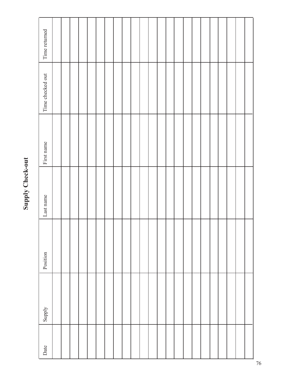# **Supply Check-out Supply Check-out**

| Date | Supply | Position | Last name | First name | Time checked out | Time returned |
|------|--------|----------|-----------|------------|------------------|---------------|
|      |        |          |           |            |                  |               |
|      |        |          |           |            |                  |               |
|      |        |          |           |            |                  |               |
|      |        |          |           |            |                  |               |
|      |        |          |           |            |                  |               |
|      |        |          |           |            |                  |               |
|      |        |          |           |            |                  |               |
|      |        |          |           |            |                  |               |
|      |        |          |           |            |                  |               |
|      |        |          |           |            |                  |               |
|      |        |          |           |            |                  |               |
|      |        |          |           |            |                  |               |
|      |        |          |           |            |                  |               |
|      |        |          |           |            |                  |               |
|      |        |          |           |            |                  |               |
|      |        |          |           |            |                  |               |
|      |        |          |           |            |                  |               |
|      |        |          |           |            |                  |               |
|      |        |          |           |            |                  |               |
|      |        |          |           |            |                  |               |
|      |        |          |           |            |                  |               |
|      |        |          |           |            |                  |               |
|      |        |          |           |            |                  |               |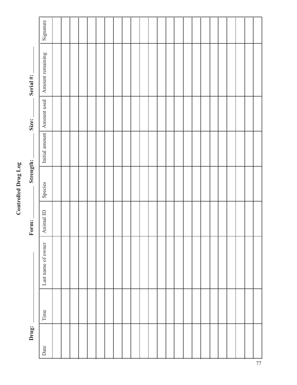| ă      |
|--------|
| O<br>Ē |
|        |
|        |
|        |
|        |
|        |

| Drug: |      |                    | Form:     | Strength: |                | Size:       | Serial #:        |           |
|-------|------|--------------------|-----------|-----------|----------------|-------------|------------------|-----------|
| Date  | Time | Last name of owner | Animal ID | Species   | Initial amount | Amount used | Amount remaining | Signature |
|       |      |                    |           |           |                |             |                  |           |
|       |      |                    |           |           |                |             |                  |           |
|       |      |                    |           |           |                |             |                  |           |
|       |      |                    |           |           |                |             |                  |           |
|       |      |                    |           |           |                |             |                  |           |
|       |      |                    |           |           |                |             |                  |           |
|       |      |                    |           |           |                |             |                  |           |
|       |      |                    |           |           |                |             |                  |           |
|       |      |                    |           |           |                |             |                  |           |
|       |      |                    |           |           |                |             |                  |           |
|       |      |                    |           |           |                |             |                  |           |
|       |      |                    |           |           |                |             |                  |           |
|       |      |                    |           |           |                |             |                  |           |
|       |      |                    |           |           |                |             |                  |           |
|       |      |                    |           |           |                |             |                  |           |
|       |      |                    |           |           |                |             |                  |           |
|       |      |                    |           |           |                |             |                  |           |
|       |      |                    |           |           |                |             |                  |           |
|       |      |                    |           |           |                |             |                  |           |
|       |      |                    |           |           |                |             |                  |           |
|       |      |                    |           |           |                |             |                  |           |
|       |      |                    |           |           |                |             |                  |           |
|       |      |                    |           |           |                |             |                  |           |
|       |      |                    |           |           |                |             |                  |           |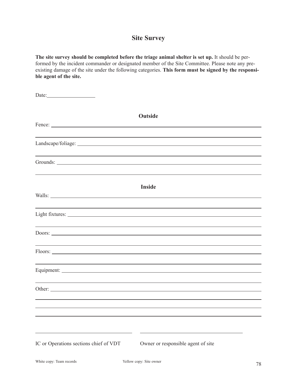### **Site Survey**

**The site survey should be completed before the triage animal shelter is set up.** It should be performed by the incident commander or designated member of the Site Committee. Please note any preexisting damage of the site under the following categories. **This form must be signed by the responsible agent of the site.**

| Date:                                                                                                                                                                                                                         |                                                                                   |
|-------------------------------------------------------------------------------------------------------------------------------------------------------------------------------------------------------------------------------|-----------------------------------------------------------------------------------|
|                                                                                                                                                                                                                               |                                                                                   |
|                                                                                                                                                                                                                               | Outside                                                                           |
|                                                                                                                                                                                                                               |                                                                                   |
|                                                                                                                                                                                                                               |                                                                                   |
|                                                                                                                                                                                                                               | ,我们也不会有什么。""我们的人,我们也不会有什么?""我们的人,我们也不会有什么?""我们的人,我们的人,我们也不会有什么?""我们的人,我们的人,我们的人,我 |
|                                                                                                                                                                                                                               |                                                                                   |
|                                                                                                                                                                                                                               | <b>Inside</b>                                                                     |
|                                                                                                                                                                                                                               |                                                                                   |
| the control of the control of the control of the control of the control of the control of the control of the control of the control of the control of the control of the control of the control of the control of the control |                                                                                   |
| and the control of the control of the control of the control of the control of the control of the control of the                                                                                                              |                                                                                   |
| <u> 1989 - Andrea Santa Alemania, amerikana amerikana amerikana amerikana amerikana amerikana amerikana amerikan</u>                                                                                                          |                                                                                   |
|                                                                                                                                                                                                                               |                                                                                   |
| ,我们也不能在这里,我们也不能在这里的时候,我们也不能会在这里,我们也不能会在这里的时候,我们也不能会在这里的时候,我们也不能会在这里的时候,我们也不能会在这里                                                                                                                                              |                                                                                   |
|                                                                                                                                                                                                                               |                                                                                   |
| Other:                                                                                                                                                                                                                        |                                                                                   |
|                                                                                                                                                                                                                               |                                                                                   |
|                                                                                                                                                                                                                               |                                                                                   |
|                                                                                                                                                                                                                               |                                                                                   |
| IC or Operations sections chief of VDT                                                                                                                                                                                        | Owner or responsible agent of site                                                |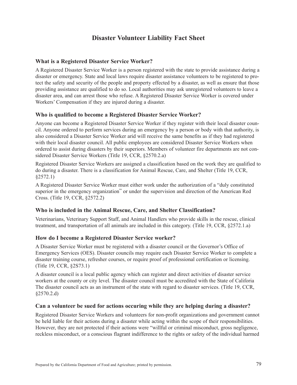## **Disaster Volunteer Liability Fact Sheet**

#### **What is a Registered Disaster Service Worker?**

A Registered Disaster Service Worker is a person registered with the state to provide assistance during a disaster or emergency. State and local laws require disaster assistance volunteers to be registered to protect the safety and security of the people and property effected by a disaster, as well as ensure that those providing assistance are qualified to do so. Local authorities may ask unregistered volunteers to leave a disaster area, and can arrest those who refuse. A Registered Disaster Service Worker is covered under Workers' Compensation if they are injured during a disaster.

#### **Who is qualified to become a Registered Disaster Service Worker?**

Anyone can become a Registered Disaster Service Worker if they register with their local disaster council. Anyone ordered to perform services during an emergency by a person or body with that authority, is also considered a Disaster Service Worker arid will receive the same benefits as if they had registered with their local disaster council. All public employees are considered Disaster Service Workers when ordered to assist during disasters by their superiors. Members of volunteer fire departments are not considered Disaster Service Workers (TitIe 19, CCR, §2570.2.a)

Registered Disaster Service Workers are assigned a classification based on the work they are qualified to do during a disaster. There is a classification for Animal Rescue, Care, and Shelter (Title 19, CCR, §2572.1)

A Registered Disaster Service Worker must either work under the authorization of a "duly constituted superior in the emergency organization" or under the supervision and direction of the American Red Cross. (Title 19, CCR, §2572.2)

#### **Who is included in the Animal Rescue, Care, and Shelter Classification?**

Veterinarians, Veterinary Support Staff, and Animal Handlers who provide skills in the rescue, clinical treatment, and transportation of all animals are included in this category. (Title 19, CCR, §2572.1.a)

#### **How do I become a Registered Disaster Service worker?**

A Disaster Service Worker must be registered with a disaster council or the Governor's Office of Emergency Services (OES). Disaster councils may require each Disaster Service Worker to complete a disaster training course, refresher courses, or require proof of professional certification or licensing. (Title 19, CCR, §2S73.1)

A disaster council is a local public agency which can register and direct activities of disaster service workers at the county or city level. The disaster council must be accredited with the State of Califoria The disaster council acts as an instrument of the state with regard to disaster services. (Title 19, CCR, §2570.2.d)

#### **Can a volunteer be sued for actions occuring while they are helping during a disaster?**

Registered Disaster Service Workers and volunteers for non-profit organizations and government cannot be held liable for their actions during a disaster while acting within the scope of their responsibilities. However, they are not protected if their actions were "willful or criminal misconduct, gross negligence, reckless misconduct, or a conscious flagrant indifference to the rights or safety of the individual harmed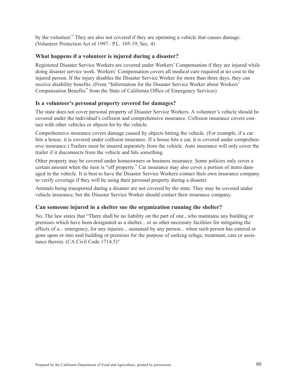by the volunteer." They are also not covered if they are operating a vehicle that causes damage. (Volunteer Protection Act of 1997– P.L. 105-19, Sec. 4)

#### **What happens if a volunteer is injured during a disaster?**

Registered Disaster Service Workers are covered under Workers' Compensation if they are injured while doing disaster service work. Workers' Compensation covers all medical care required at no cost to the injured person. If the injury disables the Disaster Service Worker for more than three days, they can receive disability benefits. (From "Information for the Disaster Service Worker about Workers' Compensation Benefits" from the State of California Office of Emergency Services)

#### **Is a volunteer's personal property covered for damages?**

The state does not cover personal property of Disaster Service Workers. A volunteer's vehicle should be covered under the individual's collision and comprehensive insurance. Collision insurance covers contact with other vehicles or objects hit by the vehicle.

Comprehensive insurance covers damage caused by objects hitting the vehicle. (For example, if a car hits a house, it is covered under collision insurance. If a house hits a car, it is covered under comprehensive insurance.) Trailers must be insured separately from the vehicle. Auto insurance will only cover the trailer if it disconnects from the vehicle and hits something.

Other property may be covered under homeowners or business insurance. Some policies only cover a certain amount when the item is "off property." Car insurance may also cover a portion of items damaged in the vehicle. It is best to have the Disaster Service Workers contact their own insurance company to verify coverage if they will be using their personal property during a disaster.

Animals being transported during a disaster are not covered by the state. They may be covered under vehicle insurance, but the Disaster Service Worker should contact their insurance company.

#### **Can someone injured in a shelter sue the organization running the shelter?**

No. The law states that "There shall be no liability on the part of one...who maintains any building or premises which have been designated as a shelter... or as other necessary facilities for mitigating the effects of a... emergency, for any injuries... sustained by any person... when such person has entered or gone upon or into said building or premises for the purpose of seeking refuge, treatment, care or assistance therein. (CA Civil Code 1714.5)"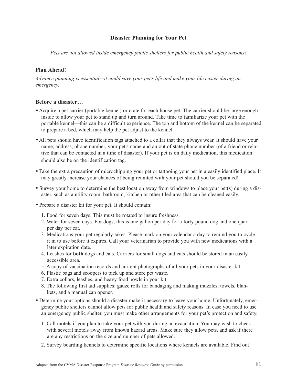#### **Disaster Planning for Your Pet**

*Pets are not allowed inside emergency public shelters for public health and safety reasons!*

#### **Plan Ahead!**

*Advance planning is essential—it could save your pet's life and make your life easier during an emergency.*

#### **Before a disaster…**

- Acquire a pet carrier (portable kennel) or crate for each house pet. The carrier should be large enough inside to allow your pet to stand up and turn around. Take time to familiarize your pet with the portable kennel—this can be a difficult experience. The top and bottom of the kennel can be separated to prepare a bed, which may help the pet adjust to the kennel.
- All pets should have identification tags attached to a collar that they always wear. It should have your name, address, phone number, your pet's name and an out of state phone number (of a friend or relative that can be contacted in a time of disaster). If your pet is on daily medication, this medication should also be on the identification tag.
- Take the extra precaution of microchipping your pet or tattooing your pet in a easily identified place. It may greatly increase your chances of being reunited with your pet should you be separated!
- Survey your home to determine the best location away from windows to place your pet(s) during a disaster, such as a utility room, bathroom, kitchen or other tiled area that can be cleaned easily.
- Prepare a disaster kit for your pet. It should contain:
	- 1. Food for seven days. This must be rotated to insure freshness.
	- 2. Water for seven days. For dogs, this is one gallon per day for a forty pound dog and one quart per day per cat.
	- 3. Medications your pet regularly takes. Please mark on your calendar a day to remind you to cycle it in to use before it expires. Call your veterinarian to provide you with new medications with a later expiration date.
	- 4. Leashes for **both** dogs and cats. Carriers for small dogs and cats should be stored in an easily accessible area.
	- 5. A copy of vaccination records and current photographs of all your pets in your disaster kit.
	- 6. Plastic bags and scoopers to pick up and store pet waste.
	- 7. Extra collars, leashes, and heavy food bowls in your kit.
	- 8. The following first aid supplies: gauze rolls for bandaging and making muzzles, towels, blankets, and a manual can opener.
- Determine your options should a disaster make it necessary to leave your home. Unfortunately, emergency public shelters cannot allow pets for public health and safety reasons. In case you need to use an emergency public shelter, you must make other arrangements for your pet's protection and safety.
	- 1. Call motels if you plan to take your pet with you during an evacuation. You may wish to check with several motels away from known hazard areas. Make sure they allow pets, and ask if there are any restrictions on the size and number of pets allowed.
	- 2. Survey boarding kennels to determine specific locations where kennels are available. Find out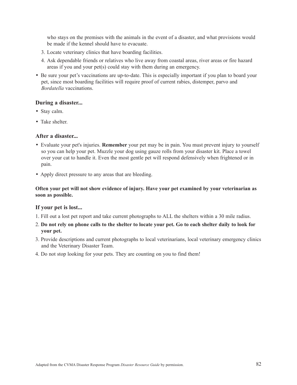who stays on the premises with the animals in the event of a disaster, and what provisions would be made if the kennel should have to evacuate.

- 3. Locate veterinary clinics that have boarding facilities.
- 4. Ask dependable friends or relatives who live away from coastal areas, river areas or fire hazard areas if you and your pet(s) could stay with them during an emergency.
- Be sure your pet's vaccinations are up-to-date. This is especially important if you plan to board your pet, since most boarding facilities will require proof of current rabies, distemper, parvo and *Bordatella* vaccinations.

#### **During a disaster...**

- Stay calm.
- Take shelter.

#### **After a disaster...**

- Evaluate your pet's injuries. **Remember** your pet may be in pain. You must prevent injury to yourself so you can help your pet. Muzzle your dog using gauze rolls from your disaster kit. Place a towel over your cat to handle it. Even the most gentle pet will respond defensively when frightened or in pain.
- Apply direct pressure to any areas that are bleeding.

#### **Often your pet will not show evidence of injury. Have your pet examined by your veterinarian as soon as possible.**

#### **If your pet is lost...**

- 1. Fill out a lost pet report and take current photographs to ALL the shelters within a 30 mile radius.
- 2. **Do not rely on phone calls to the shelter to locate your pet. Go to each shelter daily to look for your pet.**
- 3. Provide descriptions and current photographs to local veterinarians, local veterinary emergency clinics and the Veterinary Disaster Team.
- 4. Do not stop looking for your pets. They are counting on you to find them!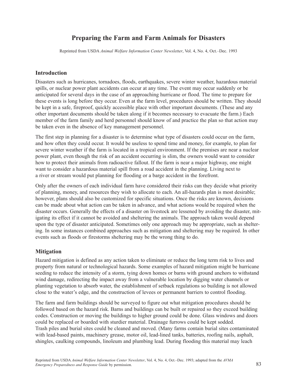# **Preparing the Farm and Farm Animals for Disasters**

Reprinted from USDA *Animal Welfare Information Center Newsletter*, Vol. 4, No. 4, Oct.–Dec. 1993

#### **Introduction**

Disasters such as hurricanes, tornadoes, floods, earthquakes, severe winter weather, hazardous material spills, or nuclear power plant accidents can occur at any time. The event may occur suddenly or be anticipated for several days in the case of an approaching hurricane or flood. The time to prepare for these events is long before they occur. Even at the farm level, procedures should be written. They should be kept in a safe, fireproof, quickly accessible place with other important documents. (These and any other important documents should be taken along if it becomes necessary to evacuate the farm.) Each member of the farm family and herd personnel should know of and practice the plan so that action may be taken even in the absence of key management personnel.

The first step in planning for a disaster is to determine what type of disasters could occur on the farm, and how often they could occur. It would be useless to spend time and money, for example, to plan for severe winter weather if the farm is located in a tropical environment. If the premises are near a nuclear power plant, even though the risk of an accident occurring is slim, the owners would want to consider how to protect their animals from radioactive fallout. If the farm is near a major highway, one might want to consider a hazardous material spill from a road accident in the planning. Living next to a river or stream would put planning for flooding or a barge accident in the forefront.

Only after the owners of each individual farm have considered their risks can they decide what priority of planning, money, and resources they wish to allocate to each. An all-hazards plan is most desirable; however, plans should also be customized for specific situations. Once the risks are known, decisions can be made about what action can be taken in advance, and what actions would be required when the disaster occurs. Generally the effects of a disaster on livestock are lessened by avoiding the disaster, mitigating its effect if it cannot be avoided and sheltering the animals. The approach taken would depend upon the type of disaster anticipated. Sometimes only one approach may be appropriate, such as sheltering. In some instances combined approaches such as mitigation and sheltering may be required. In other events such as floods or firestorms sheltering may be the wrong thing to do.

#### **Mitigation**

Hazard mitigation is defined as any action taken to eliminate or reduce the long term risk to lives and property from natural or technological hazards. Some examples of hazard mitigation might be hurricane seeding to reduce the intensity of a storm, tying down homes or barns with ground anchors to withstand wind damage, redirecting the impact away from a vulnerable location by digging water channels or planting vegetation to absorb water, the establishment of setback regulations so building is not allowed close to the water's edge, and the construction of levees or permanent barriers to control flooding.

The farm and farm buildings should be surveyed to figure out what mitigation procedures should be followed based on the hazard risk. Barns and buildings can be built or repaired so they exceed building codes. Construction or moving the buildings to higher ground could be done. Glass windows and doors could be replaced or boarded with sturdier material. Drainage furrows could be kept sodded. Trash piles and burial sites could be cleaned and moved. (Many farms contain burial sites contaminated with lead-based paints, machinery grease, motor oil, lead-lined tanks, batteries, roofing nails, asphalt, shingles, caulking compounds, linoleum and plumbing lead. During flooding this material may leach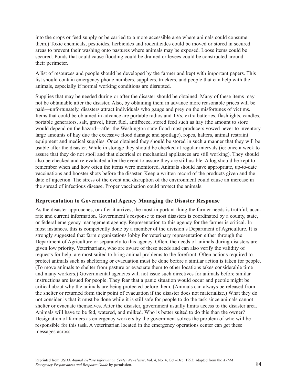into the crops or feed supply or be carried to a more accessible area where animals could consume them.) Toxic chemicals, pesticides, herbicides and rodenticides could be moved or stored in secured areas to prevent their washing onto pastures where animals may be exposed. Loose items could be secured. Ponds that could cause flooding could be drained or levees could be constructed around their perimeter.

A list of resources and people should be developed by the farmer and kept with important papers. This list should contain emergency phone numbers, suppliers, truckers, and people that can help with the animals, especially if normal working conditions are disrupted.

Supplies that may be needed during or after the disaster should be obtained. Many of these items may not be obtainable after the disaster. Also, by obtaining them in advance more reasonable prices will be paid—unfortunately, disasters attract individuals who gauge and prey on the misfortunes of victims. Items that could be obtained in advance are portable radios and TVs, extra batteries, flashlights, candles, portable generators, salt, gravel, litter, fuel, antifreeze, stored feed such as hay (the amount to store would depend on the hazard—after the Washington state flood most producers vowed never to inventory large amounts of hay due the excessive flood damage and spoilage), ropes, halters, animal restraint equipment and medical supplies. Once obtained they should be stored in such a manner that they will be usable after the disaster. While in storage they should be checked at regular intervals (ie: once a week to assure that they do not spoil and that electrical or mechanical appliances are still working). They should also be checked and re-evaluated after the event to assure they are still usable. A log should be kept to remember when and how often the items were monitored. Animals should have appropriate, up-to-date vaccinations and booster shots before the disaster. Keep a written record of the products given and the date of injection. The stress of the event and disruption of the environment could cause an increase in the spread of infectious disease. Proper vaccination could protect the animals.

#### **Representation to Governmental Agency Managing the Disaster Response**

As the disaster approaches, or after it arrives, the most important thing the farmer needs is truthful, accurate and current information. Government's response to most disasters is coordinated by a county, state, or federal emergency management agency. Representation to this agency for the farmer is critical. In most instances, this is competently done by a member of the division's Department of Agriculture. It is strongly suggested that farm organizations lobby for veterinary representation either through the Department of Agriculture or separately to this agency. Often, the needs of animals during disasters are given low priority. Veterinarians, who are aware of these needs and can also verify the validity of requests for help, are most suited to bring animal problems to the forefront. Often actions required to protect animals such as sheltering or evacuation must be done before a similar action is taken for people. (To move animals to shelter from pasture or evacuate them to other locations takes considerable time and many workers.) Governmental agencies will not issue such directives for animals before similar instructions are issued for people. They fear that a panic situation would occur and people might be critical about why the animals are being protected before them. (Animals can always be released from the shelter or returned form their point of evacuation if the disaster does not materialize.) What they do not consider is that it must be done while it is still safe for people to do the task since animals cannot shelter or evacuate themselves. After the disaster, government usually limits access to the disaster area. Animals will have to be fed, watered, and milked. Who is better suited to do this than the owner? Designation of farmers as emergency workers by the government solves the problem of who will be responsible for this task. A veterinarian located in the emergency operations center can get these messages across.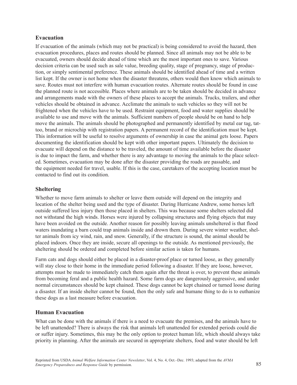#### **Evacuation**

If evacuation of the animals (which may not be practical) is being considered to avoid the hazard, then evacuation procedures, places and routes should be planned. Since all animals may not be able to be evacuated, owners should decide ahead of time which are the most important ones to save. Various decision criteria can be used such as sale value, breeding quality, stage of pregnancy, stage of production, or simply sentimental preference. These animals should be identified ahead of time and a written list kept. If the owner is not home when the disaster threatens, others would then know which animals to save. Routes must not interfere with human evacuation routes. Alternate routes should be found in case the planned route is not accessible. Places where animals are to be taken should be decided in advance and arrangements made with the owners of these places to accept the animals. Trucks, trailers, and other vehicles should be obtained in advance. Acclimate the animals to such vehicles so they will not be frightened when the vehicles have to be used. Restraint equipment, food and water supplies should be available to use and move with the animals. Sufficient numbers of people should be on hand to help move the animals. The animals should be photographed and permanently identified by metal ear tag, tattoo, brand or microchip with registration papers. A permanent record of the identification must be kept. This information will be useful to resolve arguments of ownership in case the animal gets loose. Papers documenting the identification should be kept with other important papers. Ultimately the decision to evacuate will depend on the distance to be traveled, the amount of time available before the disaster is due to impact the farm, and whether there is any advantage to moving the animals to the place selected. Sometimes, evacuation may be done after the disaster providing the roads are passable, and the equipment needed for travel, usable. If this is the case, caretakers of the accepting location must be contacted to find out its condition.

#### **Sheltering**

Whether to move farm animals to shelter or leave them outside will depend on the integrity and location of the shelter being used and the type of disaster. During Hurricane Andrew, some horses left outside suffered less injury then those placed in shelters. This was because some shelters selected did not withstand the high winds. Horses were injured by collapsing structures and flying objects that may have been avoided on the outside. Another reason for possibly leaving animals unsheltered is that flood waters inundating a barn could trap animals inside and drown them. During severe winter weather, shelter animals from icy wind, rain, and snow. Generally, if the structure is sound, the animal should be placed indoors. Once they are inside, secure all openings to the outside. As mentioned previously, the sheltering should be ordered and completed before similar action is taken for humans.

Farm cats and dogs should either be placed in a disaster-proof place or turned loose, as they generally will stay close to their home in the immediate period following a disaster. If they are loose, however, attempts must be made to immediately catch them again after the threat is over, to prevent these animals from becoming feral and a public health hazard. Some farm dogs are dangerously aggressive, and under normal circumstances should be kept chained. These dogs cannot be kept chained or turned loose during a disaster. If an inside shelter cannot be found, then the only safe and humane thing to do is to euthanize these dogs as a last measure before evacuation.

#### **Human Evacuation**

What can be done with the animals if there is a need to evacuate the premises, and the animals have to be left unattended? There is always the risk that animals left unattended for extended periods could die or suffer injury. Sometimes, this may be the only option to protect human life, which should always take priority in planning. After the animals are secured in appropriate shelters, food and water should be left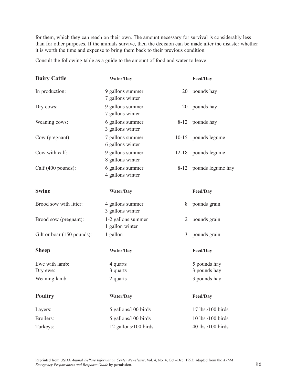for them, which they can reach on their own. The amount necessary for survival is considerably less than for other purposes. If the animals survive, then the decision can be made after the disaster whether it is worth the time and expense to bring them back to their previous condition.

Consult the following table as a guide to the amount of food and water to leave:

| <b>Dairy Cattle</b>        | Water/Day                             |                | Feed/Day                     |
|----------------------------|---------------------------------------|----------------|------------------------------|
| In production:             | 9 gallons summer<br>7 gallons winter  | 20             | pounds hay                   |
| Dry cows:                  | 9 gallons summer<br>7 gallons winter  | 20             | pounds hay                   |
| Weaning cows:              | 6 gallons summer<br>3 gallons winter  | $8 - 12$       | pounds hay                   |
| Cow (pregnant):            | 7 gallons summer<br>6 gallons winter  | $10 - 15$      | pounds legume                |
| Cow with calf:             | 9 gallons summer<br>8 gallons winter  | $12 - 18$      | pounds legume                |
| Calf (400 pounds):         | 6 gallons summer<br>4 gallons winter  | $8 - 12$       | pounds legume hay            |
| <b>Swine</b>               | Water/Day                             |                | Feed/Day                     |
| Brood sow with litter:     | 4 gallons summer<br>3 gallons winter  | 8              | pounds grain                 |
| Brood sow (pregnant):      | 1-2 gallons summer<br>1 gallon winter | $\overline{2}$ | pounds grain                 |
| Gilt or boar (150 pounds): | 1 gallon                              | 3              | pounds grain                 |
| <b>Sheep</b>               | Water/Day                             |                | Feed/Day                     |
| Ewe with lamb:<br>Dry ewe: | 4 quarts<br>3 quarts                  |                | 5 pounds hay<br>3 pounds hay |
| Weaning lamb:              | 2 quarts                              |                | 3 pounds hay                 |
| <b>Poultry</b>             | Water/Day                             |                | Feed/Day                     |
| Layers:                    | 5 gallons/100 birds                   |                | 17 lbs./100 birds            |
| Broilers:                  | 5 gallons/100 birds                   |                | 10 lbs./100 birds            |
| Turkeys:                   | 12 gallons/100 birds                  |                | 40 lbs./100 birds            |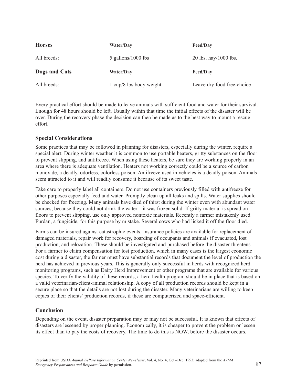| <b>Horses</b> | Water/Day            | <b>Feed/Day</b>       |
|---------------|----------------------|-----------------------|
| All breeds:   | $5$ gallons/1000 lbs | 20 lbs. hay/1000 lbs. |
|               |                      |                       |
| Dogs and Cats | <b>Water/Day</b>     | <b>Feed/Day</b>       |

Every practical effort should be made to leave animals with sufficient food and water for their survival. Enough for 48 hours should be left. Usually within that time the initial effects of the disaster will be over. During the recovery phase the decision can then be made as to the best way to mount a rescue effort.

#### **Special Considerations**

Some practices that may be followed in planning for disasters, especially during the winter, require a special alert: During winter weather it is common to use portable heaters, gritty substances on the floor to prevent slipping, and antifreeze. When using these heaters, be sure they are working properly in an area where there is adequate ventilation. Heaters not working correctly could be a source of carbon monoxide, a deadly, odorless, colorless poison. Antifreeze used in vehicles is a deadly poison. Animals seem attracted to it and will readily consume it because of its sweet taste.

Take care to properly label all containers. Do not use containers previously filled with antifreeze for other purposes especially feed and water. Promptly clean up all leaks and spills. Water supplies should be checked for freezing. Many animals have died of thirst during the winter even with abundant water sources, because they could not drink the water—it was frozen solid. If gritty material is spread on floors to prevent slipping, use only approved nontoxic materials. Recently a farmer mistakenly used Furdan, a fungicide, for this purpose by mistake. Several cows who had licked it off the floor died.

Farms can be insured against catastrophic events. Insurance policies are available for replacement of damaged materials, repair work for recovery, boarding of occupants and animals if evacuated, lost production, and relocation. These should be investigated and purchased before the disaster threatens. For a farmer to claim compensation for lost production, which in many cases is the largest economic cost during a disaster, the farmer must have substantial records that document the level of production the herd has achieved in previous years. This is generally only successful in herds with recognized herd monitoring programs, such as Dairy Herd Improvement or other programs that are available for various species. To verify the validity of these records, a herd health program should be in place that is based on a valid veterinarian-client-animal relationship. A copy of all production records should be kept in a secure place so that the details are not lost during the disaster. Many veterinarians are willing to keep copies of their clients' production records, if these are computerized and space-efficient.

#### **Conclusion**

Depending on the event, disaster preparation may or may not be successful. It is known that effects of disasters are lessened by proper planning. Economically, it is cheaper to prevent the problem or lessen its effect than to pay the costs of recovery. The time to do this is NOW, before the disaster occurs.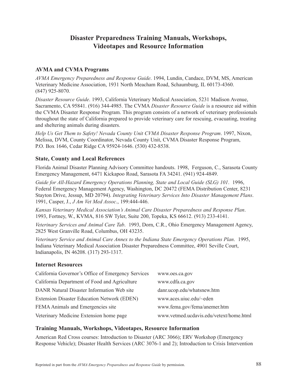# **Disaster Preparedness Training Manuals, Workshops, Videotapes and Resource Information**

#### **AVMA and CVMA Programs**

*AVMA Emergency Preparedness and Response Guide*. 1994, Lundin, Candace, DVM, MS, American Veterinary Medicine Association, 1931 North Meacham Road, Schaumburg, IL 60173-4360. (847) 925-8070.

*Disaster Resource Guide*. 1993, California Veterinary Medical Association, 5231 Madison Avenue, Sacramento, CA 95841. (916) 344-4985. The CVMA *Disaster Resource Guide* is a resource aid within the CVMA Disaster Response Program. This program consists of a network of veterinary professionals throughout the state of California prepared to provide veterinary care for rescuing, evacuating, treating and sheltering animals during disasters.

*Help Us Get Them to Safety! Nevada County Unit CVMA Disaster Response Program*. 1997, Nixon, Melissa, DVM, County Coordinator, Nevada County Unit, CVMA Disaster Response Program, P.O. Box 1646, Cedar Ridge CA 95924-1646. (530) 432-8538.

#### **State, County and Local References**

Florida Animal Disaster Planning Advisory Committee handouts. 1998, Ferguson, C., Sarasota County Emergency Management, 6471 Kickapoo Road, Sarasota FA 34241. (941) 924-4849.

*Guide for All-Hazard Emergency Operations Planning, State and Local Guide (SLG) 101*. 1996, Federal Emergency Management Agency, Washington, DC 20472 (FEMA Distribution Center, 8231 Stayton Drive, Jessup, MD 20794). *Integrating Veterinary Services Into Disaster Management Plans*. 1991, Casper, J., *J Am Vet Med Assoc*., 199:444-446.

*Kansas Veterinary Medical Association's Animal Care Disaster Preparedness and Response Plan*. 1993, Fortney, W., KVMA, 816 SW Tyler, Suite 200, Topeka, KS 66612. (913) 233-4141.

*Veterinary Services and Animal Care Tab*. 1993, Dorn, C.R., Ohio Emergency Management Agency, 2825 West Granville Road, Columbus, OH 43235.

*Veterinary Service and Animal Care Annex to the Indiana State Emergency Operations Plan*. 1995, Indiana Veterinary Medical Association Disaster Preparedness Committee, 4901 Seville Court, Indianapolis, IN 46208. (317) 293-1317.

#### **Internet Resources**

| California Governor's Office of Emergency Services | www.oes.ca.gov                          |
|----------------------------------------------------|-----------------------------------------|
| California Department of Food and Agriculture      | www.cdfa.ca.gov                         |
| DANR Natural Disaster Information Web site         | danr.ucop.edu/whatsnew.htm              |
| Extension Disaster Education Network (EDEN)        | www.aces.uiuc.edu/~eden                 |
| FEMA Animals and Emergencies site                  | www.fema.gov/fema/anemer.htm            |
| Veterinary Medicine Extension home page            | www.vetmed.ucdavis.edu/vetext/home.html |

#### **Training Manuals, Workshops, Videotapes, Resource Information**

American Red Cross courses: Introduction to Disaster (ARC 3066); ERV Workshop (Emergency Response Vehicle); Disaster Health Services (ARC 3076-1 and 2); Introduction to Crisis Intervention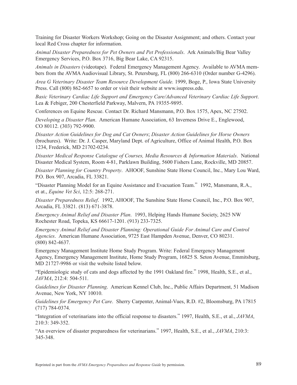Training for Disaster Workers Workshop; Going on the Disaster Assignment; and others. Contact your local Red Cross chapter for information.

*Animal Disaster Preparedness for Pet Owners and Pet Professionals*. Ark Animals/Big Bear Valley Emergency Services, P.O. Box 3716, Big Bear Lake, CA 92315.

*Animals in Disasters* (videotape). Federal Emergency Management Agency. Available to AVMA members from the AVMA Audiovisual Library, St. Petersburg, FL (800) 266-6310 (Order number G-4296).

*Area G Veterinary Disaster Team Resource Development Guide.* 1999, Boge, P., Iowa State University Press. Call (800) 862-6657 to order or visit their website at www.isupress.edu.

*Basic Veterinary Cardiac Life Support and Emergency Care/Advanced Veterinary Cardiac Life Support*. Lea & Febiger, 200 Chesterfield Parkway, Malvern, PA 19355-9895.

Conferences on Equine Rescue. Contact Dr. Richard Mansmann, P.O. Box 1575, Apex, NC 27502.

*Developing a Disaster Plan*. American Humane Association, 63 Inverness Drive E., Englewood, CO 80112. (303) 792-9900.

*Disaster Action Guidelines for Dog and Cat Owners*; *Disaster Action Guidelines for Horse Owners* (brochures). Write: Dr. J. Casper, Maryland Dept. of Agriculture, Office of Animal Health, P.O. Box 1234, Frederick, MD 21702-0234.

*Disaster Medical Response Catalogue of Courses, Media Resources & Information Materials*. National Disaster Medical System, Room 4-81, Parklawn Building, 5600 Fishers Lane, Rockville, MD 20857.

*Disaster Planning for Country Property*. AHOOF, Sunshine State Horse Council, Inc., Mary Lou Ward, P.O. Box 907, Arcadia, FL 33821.

"Disaster Planning Model for an Equine Assistance and Evacuation Team." 1992, Mansmann, R.A., et at., *Equine Vet Sci*, 12:5: 268-271.

*Disaster Preparedness Relief*. 1992, AHOOF, The Sunshine State Horse Council, Inc., P.O. Box 907, Arcadia, FL 33821. (813) 671-3878.

*Emergency Animal Relief and Disaster Plan*. 1993, Helping Hands Humane Society, 2625 NW Rochester Road, Topeka, KS 66617-1201. (913) 233-7325.

*Emergency Animal Relief and Disaster Planning: Operational Guide For Animal Care and Control Agencies*. American Humane Association, 9725 East Hampden Avenue, Denver, CO 80231. (800) 842-4637.

Emergency Management Institute Home Study Program. Write: Federal Emergency Management Agency, Emergency Management Institute, Home Study Program, 16825 S. Seton Avenue, Emmitsburg, MD 21727-9986 or visit the website listed below.

"Epidemiologic study of cats and dogs affected by the 1991 Oakland fire." 1998, Health, S.E., et al., *JAVMA*, 212:4: 504-511.

*Guidelines for Disaster Planning*. American Kennel Club, Inc., Public Affairs Department, 51 Madison Avenue, New York, NY 10010.

*Guidelines for Emergency Pet Care*. Sherry Carpenter, Animal-Vues, R.D. #2, Bloomsburg, PA 17815 (717) 784-0374.

"Integration of veterinarians into the official response to disasters." 1997, Health, S.E., et al., *JAVMA*, 210:3: 349-352.

"An overview of disaster preparedness for veterinarians." 1997, Health, S.E., et al., *JAVMA*, 210:3: 345-348.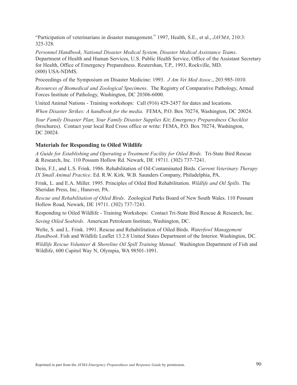"Participation of veterinarians in disaster management." 1997, Health, S.E., et al., *JAVMA*, 210:3: 325-328.

*Personnel Handbook, National Disaster Medical System, Disaster Medical Assistance Teams*. Department of Health and Human Services, U.S. Public Health Service, Office of the Assistant Secretary for Health, Office of Emergency Preparedness. Reutershan, T.P., 1993, Rockville, MD. (800) USA-NDMS.

Proceedings of the Symposium on Disaster Medicine: 1993. *J Am Vet Med Assoc*., 203:985-1010.

*Resources of Biomedical and Zoological Specimens*. The Registry of Comparative Pathology, Armed Forces Institute of Pathology, Washington, DC 20306-6000.

United Animal Nations - Training workshops: Call (916) 429-2457 for dates and locations.

*When Disaster Strikes: A handbook for the media*. FEMA, P.O. Box 70274, Washington, DC 20024.

*Your Family Disaster Plan*; *Your Family Disaster Supplies Kit*; *Emergency Preparedness Checklist* (brochures). Contact your local Red Cross office or write: FEMA, P.O. Box 70274, Washington, DC 20024.

#### **Materials for Responding to Oiled Wildlife**

*A Guide for Establishing and Operating a Treatment Facility for Oiled Birds*. Tri-State Bird Rescue & Research, Inc. 110 Possum Hollow Rd. Newark, DE 19711. (302) 737-7241.

Dein, F.J., and L.S. Frink. 1986. Rehabilitation of Oil-Contaminated Birds. *Current Veterinary Therapy IX Small Animal Practice*. Ed. R.W. Kirk. W.B. Saunders Company, Philadelphia, PA.

Frink, L. and E.A. Miller. 1995. Principles of Oiled Bird Rehabilitation. *Wildlife and Oil Spills*. The Sheridan Press, Inc., Hanover, PA.

*Rescue and Rehabilitation of Oiled Birds*. Zoological Parks Board of New South Wales. 110 Possum Hollow Road, Newark, DE 19711. (302) 737-7241.

Responding to Oiled Wildlife - Training Workshops: Contact Tri-State Bird Rescue & Research, Inc.

*Saving Oiled Seabirds*. American Petroleum Institute, Washington, DC.

Welte, S. and L. Frink. 1991. Rescue and Rehabilitation of Oiled Birds. *Waterfowl Management Handbook*. Fish and Wildlife Leaflet 13.2.8 United States Department of the Interior. Washington, DC.

*Wildlife Rescue Volunteer & Shoreline Oil Spill Training Manual*. Washington Department of Fish and Wildlife, 600 Capitol Way N, Olympia, WA 98501-1091.